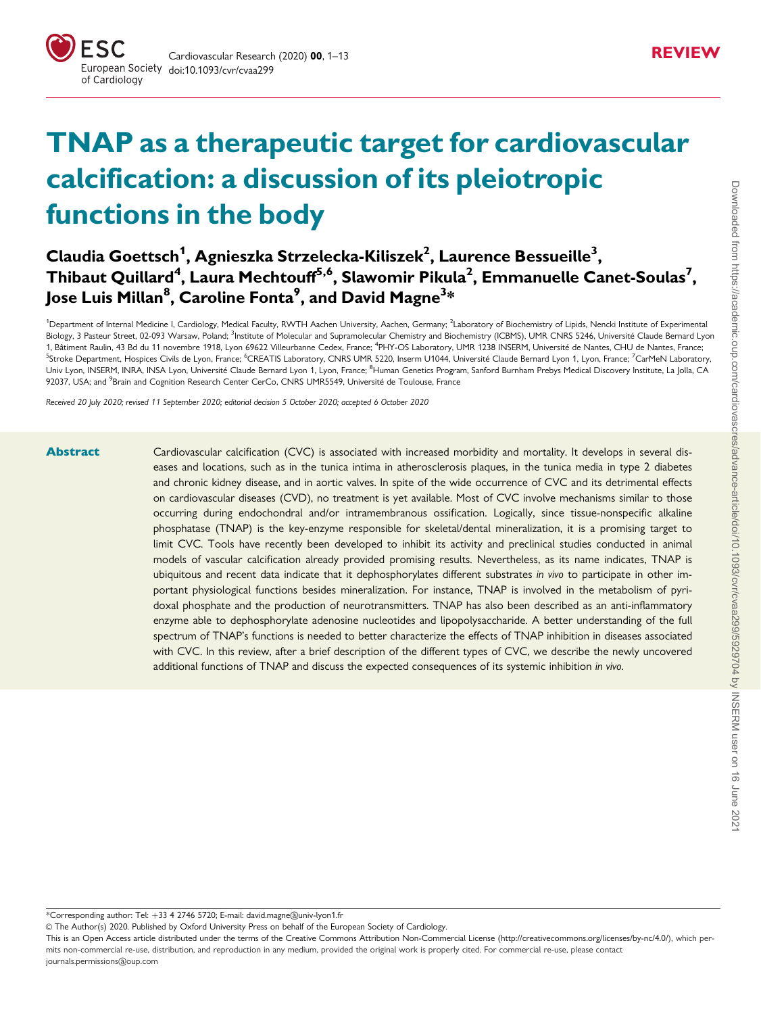# TNAP as a therapeutic target for cardiovascular calcification: a discussion of its pleiotropic functions in the body

## Claudia Goettsch<sup>1</sup>, Agnieszka Strzelecka-Kiliszek<sup>2</sup>, Laurence Bessueille<sup>3</sup>, Thibaut Quillard $^4$ , Laura Mechtouff $^{5,6}$ , Slawomir Pikula $^2$ , Emmanuelle Canet-Soulas $^7\!$ , Jose Luis Millan $^{\rm 8}$ , Caroline Fonta $^{\rm 9}$ , and David Magne $^{\rm 3*}$

<sup>1</sup>Department of Internal Medicine I, Cardiology, Medical Faculty, RWTH Aachen University, Aachen, Germany; <sup>2</sup>Laboratory of Biochemistry of Lipids, Nencki Institute of Experimental Biology, 3 Pasteur Street, 02-093 Warsaw, Poland; <sup>3</sup>Institute of Molecular and Supramolecular Chemistry and Biochemistry (ICBMS), UMR CNRS 5246, Université Claude Bernard Lyon 1, Bâtiment Raulin, 43 Bd du 11 novembre 1918, Lyon 69622 Villeurbanne Cedex, France; <sup>4</sup>PHY-OS Laboratory, UMR 1238 INSERM, Université de Nantes, CHU de Nantes, France; <sup>5</sup>Stroke Department, Hospices Civils de Lyon, France; <sup>6</sup>CREATIS Laboratory, CNRS UMR 5220, Inserm U1044, Université Claude Bernard Lyon 1, Lyon, France; <sup>7</sup>CarMeN Laboratory. Univ Lyon, INSERM, INRA, INSA Lyon, Université Claude Bernard Lyon 1, Lyon, France; <sup>8</sup>Human Genetics Program, Sanford Burnham Prebys Medical Discovery Institute, La Jolla, CA 92037, USA; and <sup>9</sup>Brain and Cognition Research Center CerCo, CNRS UMR5549, Université de Toulouse, France

Received 20 July 2020; revised 11 September 2020; editorial decision 5 October 2020; accepted 6 October 2020

Abstract Cardiovascular calcification (CVC) is associated with increased morbidity and mortality. It develops in several diseases and locations, such as in the tunica intima in atherosclerosis plaques, in the tunica media in type 2 diabetes and chronic kidney disease, and in aortic valves. In spite of the wide occurrence of CVC and its detrimental effects on cardiovascular diseases (CVD), no treatment is yet available. Most of CVC involve mechanisms similar to those occurring during endochondral and/or intramembranous ossification. Logically, since tissue-nonspecific alkaline phosphatase (TNAP) is the key-enzyme responsible for skeletal/dental mineralization, it is a promising target to limit CVC. Tools have recently been developed to inhibit its activity and preclinical studies conducted in animal models of vascular calcification already provided promising results. Nevertheless, as its name indicates, TNAP is ubiquitous and recent data indicate that it dephosphorylates different substrates in vivo to participate in other important physiological functions besides mineralization. For instance, TNAP is involved in the metabolism of pyridoxal phosphate and the production of neurotransmitters. TNAP has also been described as an anti-inflammatory enzyme able to dephosphorylate adenosine nucleotides and lipopolysaccharide. A better understanding of the full spectrum of TNAP's functions is needed to better characterize the effects of TNAP inhibition in diseases associated with CVC. In this review, after a brief description of the different types of CVC, we describe the newly uncovered additional functions of TNAP and discuss the expected consequences of its systemic inhibition in vivo.

\*Corresponding author: Tel: þ33 4 2746 5720; E-mail: david.magne@univ-lyon1.fr

V<sup>C</sup> The Author(s) 2020. Published by Oxford University Press on behalf of the European Society of Cardiology.

This is an Open Access article distributed under the terms of the Creative Commons Attribution Non-Commercial License [\(http://creativecommons.org/licenses/by-nc/4.0/](http://creativecommons.org/licenses/by-nc/4.0/)), which permits non-commercial re-use, distribution, and reproduction in any medium, provided the original work is properly cited. For commercial re-use, please contact journals.permissions@oup.com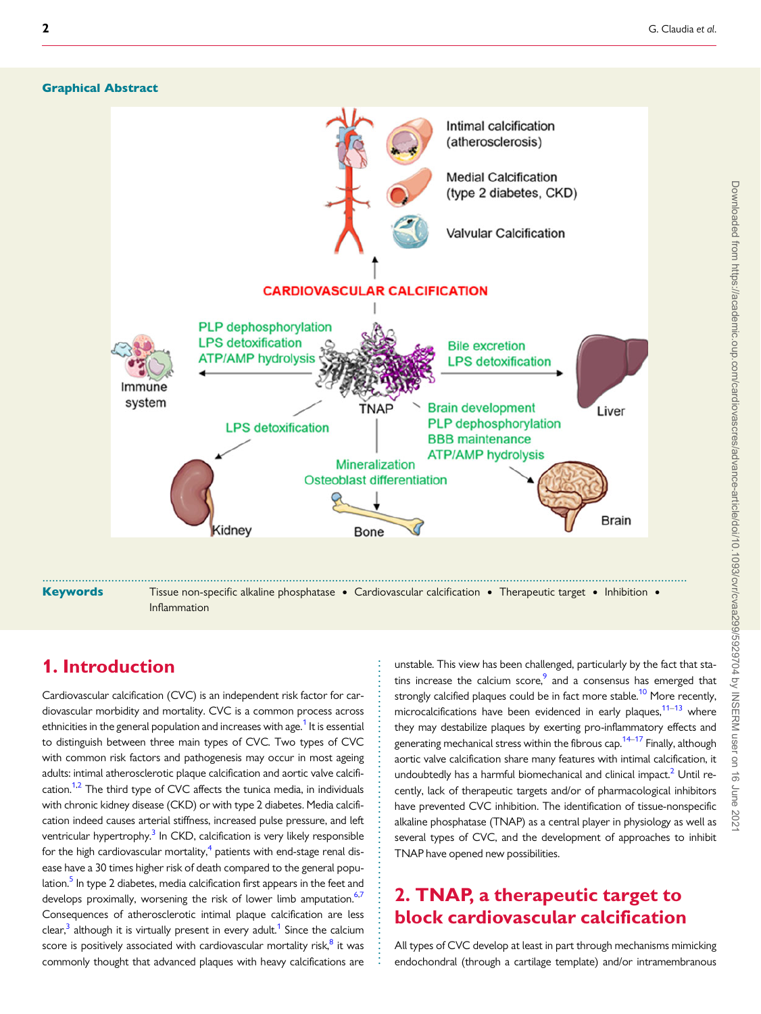#### <span id="page-1-0"></span>Graphical Abstract



. . . . . . . . . . . . . . . . . . . . . . . . . . . . . . . . . . . . . . . . . . . . . . . . . . . . . . . . . . . . .

## 1. Introduction

Cardiovascular calcification (CVC) is an independent risk factor for cardiovascular morbidity and mortality. CVC is a common process across ethnicities in the general population and increases with age.<sup>[1](#page-8-0)</sup> It is essential to distinguish between three main types of CVC. Two types of CVC with common risk factors and pathogenesis may occur in most ageing adults: intimal atherosclerotic plaque calcification and aortic valve calcifi-cation.<sup>1,[2](#page-8-0)</sup> The third type of CVC affects the tunica media, in individuals with chronic kidney disease (CKD) or with type 2 diabetes. Media calcification indeed causes arterial stiffness, increased pulse pressure, and left ventricular hypertrophy.<sup>[3](#page-8-0)</sup> In CKD, calcification is very likely responsible for the high cardiovascular mortality, $4$  patients with end-stage renal disease have a 30 times higher risk of death compared to the general population.<sup>5</sup> In type 2 diabetes, media calcification first appears in the feet and develops proximally, worsening the risk of lower limb amputation.<sup>6,[7](#page-8-0)</sup> Consequences of atherosclerotic intimal plaque calcification are less clear,<sup>[3](#page-8-0)</sup> although it is virtually present in every adult.<sup>[1](#page-8-0)</sup> Since the calcium score is positively associated with cardiovascular mortality risk,<sup>[8](#page-8-0)</sup> it was commonly thought that advanced plaques with heavy calcifications are

unstable. This view has been challenged, particularly by the fact that statins increase the calcium score, $9$  and a consensus has emerged that strongly calcified plaques could be in fact more stable.<sup>[10](#page-8-0)</sup> More recently, microcalcifications have been evidenced in early plaques,  $11-13$  where they may destabilize plaques by exerting pro-inflammatory effects and generating mechanical stress within the fibrous cap.<sup>14–17</sup> Finally, although aortic valve calcification share many features with intimal calcification, it undoubtedly has a harmful biomechanical and clinical impact.<sup>[2](#page-8-0)</sup> Until recently, lack of therapeutic targets and/or of pharmacological inhibitors have prevented CVC inhibition. The identification of tissue-nonspecific alkaline phosphatase (TNAP) as a central player in physiology as well as several types of CVC, and the development of approaches to inhibit TNAP have opened new possibilities.

## 2. TNAP, a therapeutic target to block cardiovascular calcification

All types of CVC develop at least in part through mechanisms mimicking endochondral (through a cartilage template) and/or intramembranous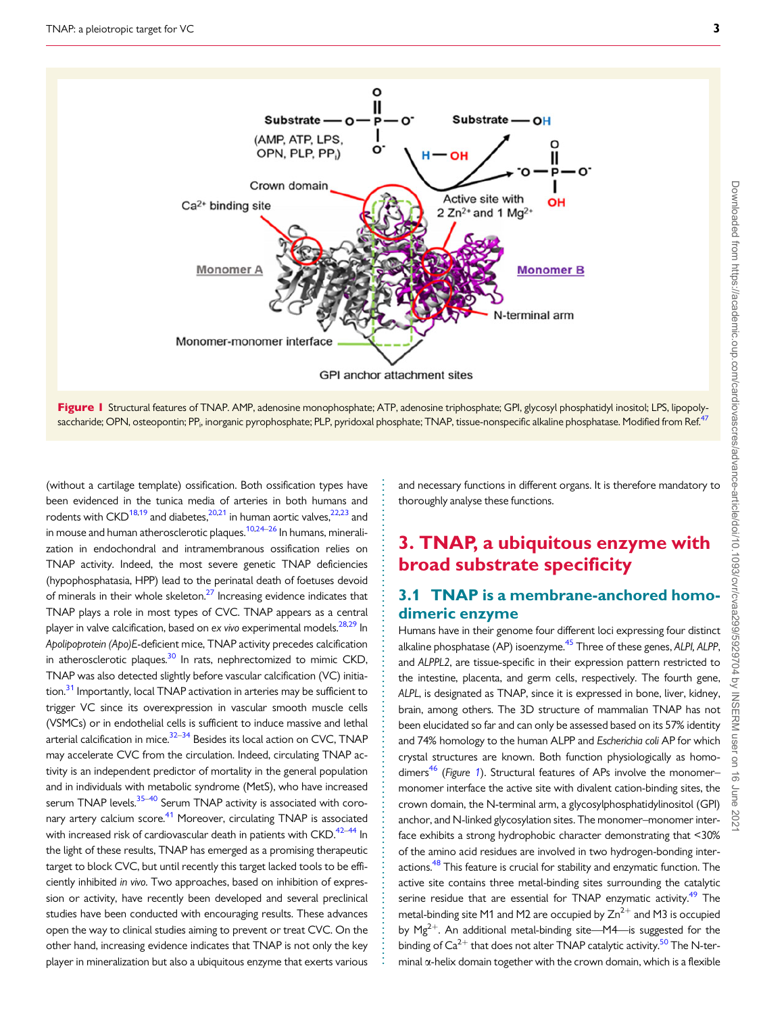<span id="page-2-0"></span>

Figure I Structural features of TNAP. AMP, adenosine monophosphate; ATP, adenosine triphosphate; GPI, glycosyl phosphatidyl inositol; LPS, lipopoly-saccharide; OPN, osteopontin; PP<sub>i</sub>, inorganic pyrophosphate; PLP, pyridoxal phosphate; TNAP, tissue-nonspecific alkaline phosphatase. Modified from Ref.<sup>[47](#page-9-0)</sup>

> . . . . . . . . . . . . . . . . . . . . . . . . . . . . . . . . . . . . . . . . . . . . . . . . . . . . . . . . . . . . . . . . . . . . . . . . . . . . . . . . . . . . . . . . . . . . . . . .

. (without a cartilage template) ossification. Both ossification types have been evidenced in the tunica media of arteries in both humans and rodents with  $CKD^{18,19}$  and diabetes,  $20,21$  in human aortic valves,  $22,23$  $22,23$  $22,23$  and in mouse and human atherosclerotic plaques.<sup>10,24[–26](#page-9-0)</sup> In humans, mineralization in endochondral and intramembranous ossification relies on TNAP activity. Indeed, the most severe genetic TNAP deficiencies (hypophosphatasia, HPP) lead to the perinatal death of foetuses devoid of minerals in their whole skeleton.<sup>27</sup> Increasing evidence indicates that TNAP plays a role in most types of CVC. TNAP appears as a central player in valve calcification, based on ex vivo experimental models.<sup>28,29</sup> In Apolipoprotein (Apo)E-deficient mice, TNAP activity precedes calcification in atherosclerotic plaques. $30$  In rats, nephrectomized to mimic CKD, TNAP was also detected slightly before vascular calcification (VC) initia-tion.<sup>[31](#page-9-0)</sup> Importantly, local TNAP activation in arteries may be sufficient to trigger VC since its overexpression in vascular smooth muscle cells (VSMCs) or in endothelial cells is sufficient to induce massive and lethal arterial calcification in mice. $32-34$  Besides its local action on CVC, TNAP may accelerate CVC from the circulation. Indeed, circulating TNAP activity is an independent predictor of mortality in the general population and in individuals with metabolic syndrome (MetS), who have increased serum TNAP levels.<sup>[35](#page-9-0)–[40](#page-9-0)</sup> Serum TNAP activity is associated with coronary artery calcium score.<sup>41</sup> Moreover, circulating TNAP is associated with increased risk of cardiovascular death in patients with  $CKD$ .<sup>[42](#page-9-0)–[44](#page-9-0)</sup> In the light of these results, TNAP has emerged as a promising therapeutic target to block CVC, but until recently this target lacked tools to be efficiently inhibited in vivo. Two approaches, based on inhibition of expression or activity, have recently been developed and several preclinical studies have been conducted with encouraging results. These advances open the way to clinical studies aiming to prevent or treat CVC. On the other hand, increasing evidence indicates that TNAP is not only the key player in mineralization but also a ubiquitous enzyme that exerts various

and necessary functions in different organs. It is therefore mandatory to thoroughly analyse these functions.

## 3. TNAP, a ubiquitous enzyme with broad substrate specificity

## 3.1 TNAP is a membrane-anchored homodimeric enzyme

Humans have in their genome four different loci expressing four distinct alkaline phosphatase (AP) isoenzyme.<sup>45</sup> Three of these genes, ALPI, ALPP, and ALPPL2, are tissue-specific in their expression pattern restricted to the intestine, placenta, and germ cells, respectively. The fourth gene, ALPL, is designated as TNAP, since it is expressed in bone, liver, kidney, brain, among others. The 3D structure of mammalian TNAP has not been elucidated so far and can only be assessed based on its 57% identity and 74% homology to the human ALPP and Escherichia coli AP for which crystal structures are known. Both function physiologically as homo-dimers<sup>[46](#page-9-0)</sup> (Figure 1). Structural features of APs involve the monomermonomer interface the active site with divalent cation-binding sites, the crown domain, the N-terminal arm, a glycosylphosphatidylinositol (GPI) anchor, and N-linked glycosylation sites. The monomer–monomer interface exhibits a strong hydrophobic character demonstrating that <30% of the amino acid residues are involved in two hydrogen-bonding interactions.<sup>48</sup> This feature is crucial for stability and enzymatic function. The active site contains three metal-binding sites surrounding the catalytic serine residue that are essential for TNAP enzymatic activity.<sup>49</sup> The metal-binding site M1 and M2 are occupied by  $Zn^{2+}$  and M3 is occupied by  $Mg^{2+}$ . An additional metal-binding site—M4—is suggested for the binding of  $Ca^{2+}$  that does not alter TNAP catalytic activity.<sup>[50](#page-9-0)</sup> The N-terminal  $\alpha$ -helix domain together with the crown domain, which is a flexible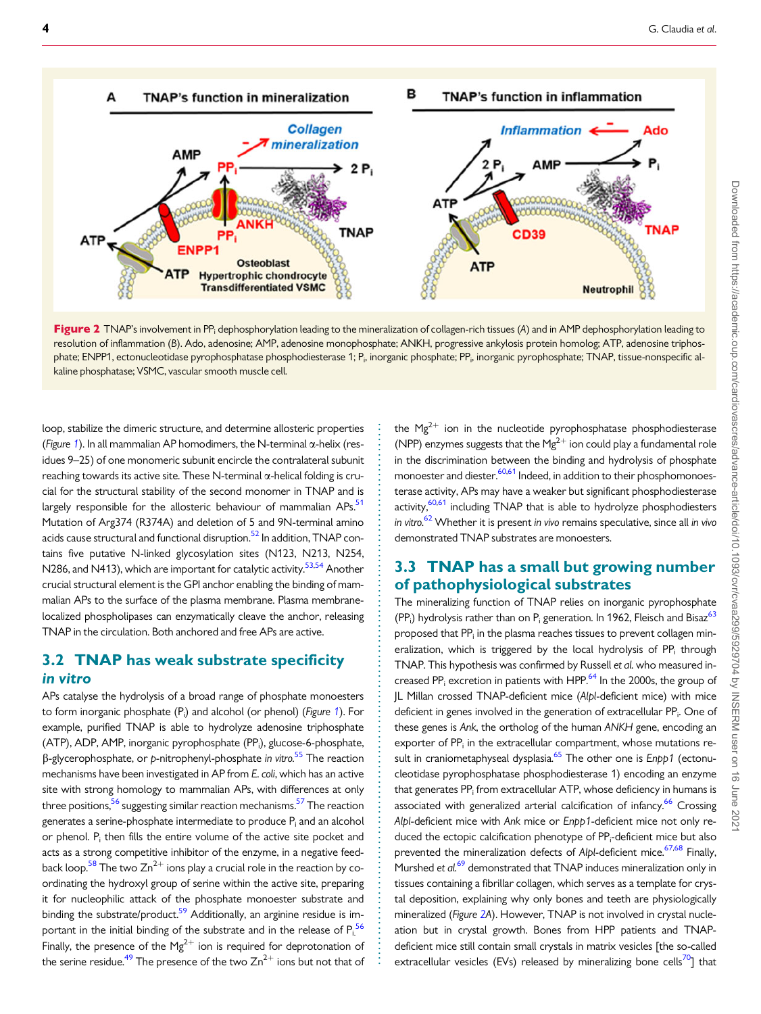<span id="page-3-0"></span>

Figure 2 TNAP's involvement in PP<sub>i</sub> dephosphorylation leading to the mineralization of collagen-rich tissues (A) and in AMP dephosphorylation leading to resolution of inflammation (B). Ado, adenosine; AMP, adenosine monophosphate; ANKH, progressive ankylosis protein homolog; ATP, adenosine triphosphate; ENPP1, ectonucleotidase pyrophosphatase phosphodiesterase 1; P<sub>i</sub>, inorganic phosphate; PP<sub>i</sub>, inorganic pyrophosphate; TNAP, tissue-nonspecific alkaline phosphatase; VSMC, vascular smooth muscle cell.

. . . . . . . . . . . . . . . . . . . . . . . . . . . . . . . . . . . . . . . . . . . . . . . . . . . . . . . . . . . . . . . . . . . . . . . . . . . . . . . . . . . . . . . . . . . . . . . . . . . . . . . . . . .

. loop, stabilize the dimeric structure, and determine allosteric properties (Figure [1](#page-2-0)). In all mammalian AP homodimers, the N-terminal  $\alpha$ -helix (residues 9–25) of one monomeric subunit encircle the contralateral subunit reaching towards its active site. These N-terminal  $\alpha$ -helical folding is crucial for the structural stability of the second monomer in TNAP and is largely responsible for the allosteric behaviour of mammalian  $APs$ .<sup>51</sup> Mutation of Arg374 (R374A) and deletion of 5 and 9N-terminal amino acids cause structural and functional disruption.<sup>52</sup> In addition, TNAP contains five putative N-linked glycosylation sites (N123, N213, N254, N286, and N413), which are important for catalytic activity.<sup>[53](#page-9-0),[54](#page-9-0)</sup> Another crucial structural element is the GPI anchor enabling the binding of mammalian APs to the surface of the plasma membrane. Plasma membranelocalized phospholipases can enzymatically cleave the anchor, releasing TNAP in the circulation. Both anchored and free APs are active.

### 3.2 TNAP has weak substrate specificity in vitro

APs catalyse the hydrolysis of a broad range of phosphate monoesters to form inorganic phosphate (P<sub>i</sub>) and alcohol (or phenol) (*Figure [1](#page-2-0)*). For example, purified TNAP is able to hydrolyze adenosine triphosphate (ATP), ADP, AMP, inorganic pyrophosphate (PP<sub>i</sub>), glucose-6-phosphate,  $\beta$ -glycerophosphate, or p-nitrophenyl-phosphate in vitro.<sup>[55](#page-9-0)</sup> The reaction mechanisms have been investigated in AP from E. coli, which has an active site with strong homology to mammalian APs, with differences at only three positions,<sup>56</sup> suggesting similar reaction mechanisms.<sup>57</sup> The reaction generates a serine-phosphate intermediate to produce P<sub>i</sub> and an alcohol or phenol. Pi then fills the entire volume of the active site pocket and acts as a strong competitive inhibitor of the enzyme, in a negative feedback loop.<sup>58</sup> The two  $\text{Zn}^{2+}$  ions play a crucial role in the reaction by coordinating the hydroxyl group of serine within the active site, preparing it for nucleophilic attack of the phosphate monoester substrate and binding the substrate/product. $59$  Additionally, an arginine residue is important in the initial binding of the substrate and in the release of  $P_i^{56}$  $P_i^{56}$  $P_i^{56}$ Finally, the presence of the  $Mg^{2+}$  ion is required for deprotonation of the serine residue.<sup>49</sup> The presence of the two  $Zn^{2+}$  ions but not that of

the  $Mg^{2+}$  ion in the nucleotide pyrophosphatase phosphodiesterase (NPP) enzymes suggests that the Mg<sup>2+</sup> ion could play a fundamental role in the discrimination between the binding and hydrolysis of phosphate monoester and diester.<sup>[60,61](#page-9-0)</sup> Indeed, in addition to their phosphomonoesterase activity, APs may have a weaker but significant phosphodiesterase activity, $60,61$  including TNAP that is able to hydrolyze phosphodiesters in vitro.<sup>[62](#page-9-0)</sup> Whether it is present in vivo remains speculative, since all in vivo demonstrated TNAP substrates are monoesters.

## 3.3 TNAP has a small but growing number of pathophysiological substrates

The mineralizing function of TNAP relies on inorganic pyrophosphate  $(PP_i)$  hydrolysis rather than on  $P_i$  generation. In 1962, Fleisch and Bisaz $^{63}$ proposed that PP<sub>i</sub> in the plasma reaches tissues to prevent collagen mineralization, which is triggered by the local hydrolysis of PP<sub>i</sub> through TNAP. This hypothesis was confirmed by Russell et al. who measured in-creased PP<sub>i</sub> excretion in patients with HPP.<sup>[64](#page-9-0)</sup> In the 2000s, the group of JL Millan crossed TNAP-deficient mice (Alpl-deficient mice) with mice deficient in genes involved in the generation of extracellular PP<sub>i</sub>. One of these genes is Ank, the ortholog of the human ANKH gene, encoding an exporter of  $PP_i$  in the extracellular compartment, whose mutations result in craniometaphyseal dysplasia.<sup>65</sup> The other one is *Enpp1* (ectonucleotidase pyrophosphatase phosphodiesterase 1) encoding an enzyme that generates PP<sub>i</sub> from extracellular ATP, whose deficiency in humans is associated with generalized arterial calcification of infancy.<sup>[66](#page-9-0)</sup> Crossing Alpl-deficient mice with Ank mice or Enpp1-deficient mice not only reduced the ectopic calcification phenotype of PP<sub>i</sub>-deficient mice but also prevented the mineralization defects of Alpl-deficient mice.  $67,68$  Finally, Murshed et al.<sup>[69](#page-9-0)</sup> demonstrated that TNAP induces mineralization only in tissues containing a fibrillar collagen, which serves as a template for crystal deposition, explaining why only bones and teeth are physiologically mineralized (Figure 2A). However, TNAP is not involved in crystal nucleation but in crystal growth. Bones from HPP patients and TNAPdeficient mice still contain small crystals in matrix vesicles [the so-called extracellular vesicles (EVs) released by mineralizing bone cells<sup>70</sup>] that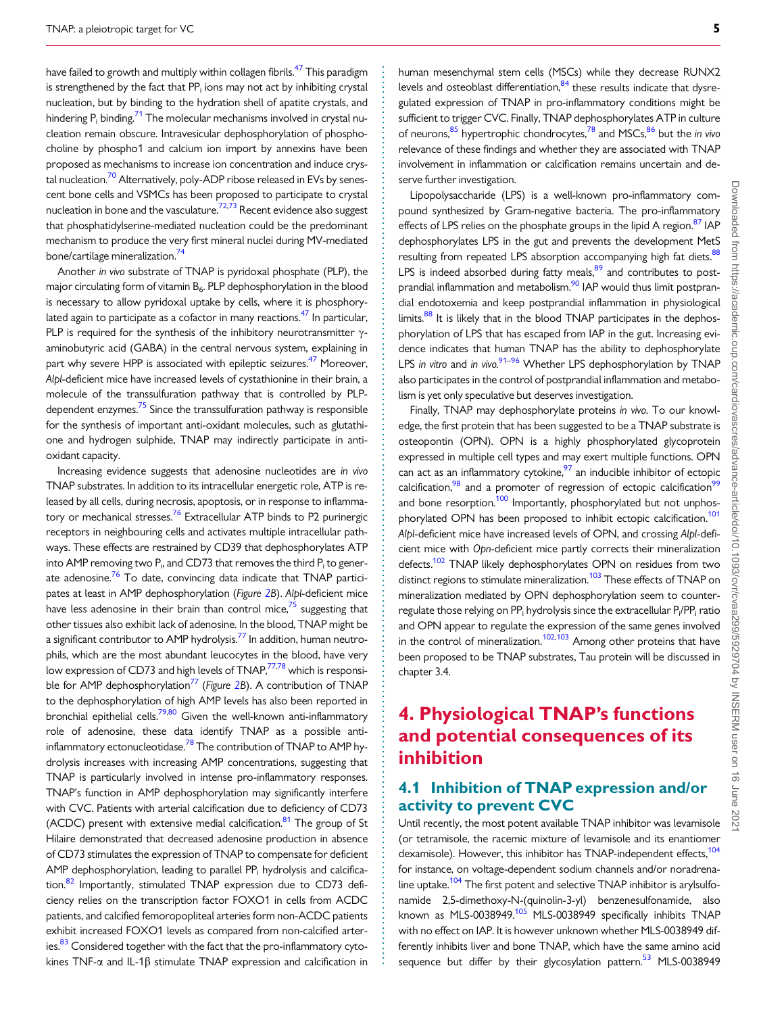<span id="page-4-0"></span>have failed to growth and multiply within collagen fibrils.<sup>[47](#page-9-0)</sup> This paradigm is strengthened by the fact that  $PP_i$  ions may not act by inhibiting crystal nucleation, but by binding to the hydration shell of apatite crystals, and hindering  $P_i$  binding.<sup>71</sup> The molecular mechanisms involved in crystal nucleation remain obscure. Intravesicular dephosphorylation of phosphocholine by phospho1 and calcium ion import by annexins have been proposed as mechanisms to increase ion concentration and induce crystal nucleation.<sup>70</sup> Alternatively, poly-ADP ribose released in EVs by senescent bone cells and VSMCs has been proposed to participate to crystal nucleation in bone and the vasculature.<sup>72,73</sup> Recent evidence also suggest that phosphatidylserine-mediated nucleation could be the predominant mechanism to produce the very first mineral nuclei during MV-mediated bone/cartilage mineralization[.74](#page-9-0)

Another in vivo substrate of TNAP is pyridoxal phosphate (PLP), the major circulating form of vitamin B<sub>6</sub>. PLP dephosphorylation in the blood is necessary to allow pyridoxal uptake by cells, where it is phosphorylated again to participate as a cofactor in many reactions. $^{47}$  In particular, PLP is required for the synthesis of the inhibitory neurotransmitter  $\gamma$ aminobutyric acid (GABA) in the central nervous system, explaining in part why severe HPP is associated with epileptic seizures.<sup>47</sup> Moreover, Alpl-deficient mice have increased levels of cystathionine in their brain, a molecule of the transsulfuration pathway that is controlled by PLPdependent enzymes. $75$  Since the transsulfuration pathway is responsible for the synthesis of important anti-oxidant molecules, such as glutathione and hydrogen sulphide, TNAP may indirectly participate in antioxidant capacity.

Increasing evidence suggests that adenosine nucleotides are in vivo TNAP substrates. In addition to its intracellular energetic role, ATP is released by all cells, during necrosis, apoptosis, or in response to inflammatory or mechanical stresses.<sup>76</sup> Extracellular ATP binds to P2 purinergic receptors in neighbouring cells and activates multiple intracellular pathways. These effects are restrained by CD39 that dephosphorylates ATP into AMP removing two  $P_i$ , and CD73 that removes the third  $P_i$  to generate adenosine.<sup>76</sup> To date, convincing data indicate that TNAP participates at least in AMP dephosphorylation (Figure [2B](#page-3-0)). Alpl-deficient mice have less adenosine in their brain than control mice, $7<sup>5</sup>$  suggesting that other tissues also exhibit lack of adenosine. In the blood, TNAP might be a significant contributor to AMP hydrolysis.<sup>77</sup> In addition, human neutrophils, which are the most abundant leucocytes in the blood, have very low expression of CD73 and high levels of TNAP,<sup>77,78</sup> which is responsi-ble for AMP dephosphorylation<sup>77</sup> (Figure [2B](#page-3-0)). A contribution of TNAP to the dephosphorylation of high AMP levels has also been reported in bronchial epithelial cells.<sup>79,[80](#page-10-0)</sup> Given the well-known anti-inflammatory role of adenosine, these data identify TNAP as a possible antiinflammatory ectonucleotidase.<sup>78</sup> The contribution of TNAP to AMP hydrolysis increases with increasing AMP concentrations, suggesting that TNAP is particularly involved in intense pro-inflammatory responses. TNAP's function in AMP dephosphorylation may significantly interfere with CVC. Patients with arterial calcification due to deficiency of CD73 (ACDC) present with extensive medial calcification. $81$  The group of St Hilaire demonstrated that decreased adenosine production in absence of CD73 stimulates the expression of TNAP to compensate for deficient AMP dephosphorylation, leading to parallel  $PP_i$  hydrolysis and calcifica-tion.<sup>[82](#page-10-0)</sup> Importantly, stimulated TNAP expression due to CD73 deficiency relies on the transcription factor FOXO1 in cells from ACDC patients, and calcified femoropopliteal arteries form non-ACDC patients exhibit increased FOXO1 levels as compared from non-calcified arteries.<sup>83</sup> Considered together with the fact that the pro-inflammatory cytokines TNF- $\alpha$  and IL-1 $\beta$  stimulate TNAP expression and calcification in

human mesenchymal stem cells (MSCs) while they decrease RUNX2 levels and osteoblast differentiation, $84$  these results indicate that dysregulated expression of TNAP in pro-inflammatory conditions might be sufficient to trigger CVC. Finally, TNAP dephosphorylates ATP in culture of neurons,  $85$  hypertrophic chondrocytes,  $78$  and MSCs,  $86$  but the in vivo relevance of these findings and whether they are associated with TNAP involvement in inflammation or calcification remains uncertain and deserve further investigation.

Lipopolysaccharide (LPS) is a well-known pro-inflammatory compound synthesized by Gram-negative bacteria. The pro-inflammatory effects of LPS relies on the phosphate groups in the lipid A region.<sup>[87](#page-10-0)</sup> IAP dephosphorylates LPS in the gut and prevents the development MetS resulting from repeated LPS absorption accompanying high fat diets.<sup>88</sup> LPS is indeed absorbed during fatty meals, $89$  and contributes to postprandial inflammation and metabolism.<sup>90</sup> IAP would thus limit postprandial endotoxemia and keep postprandial inflammation in physiological limits. $88$  It is likely that in the blood TNAP participates in the dephosphorylation of LPS that has escaped from IAP in the gut. Increasing evidence indicates that human TNAP has the ability to dephosphorylate LPS in vitro and in vivo.<sup>[91–96](#page-10-0)</sup> Whether LPS dephosphorylation by TNAP also participates in the control of postprandial inflammation and metabolism is yet only speculative but deserves investigation.

Finally, TNAP may dephosphorylate proteins in vivo. To our knowledge, the first protein that has been suggested to be a TNAP substrate is osteopontin (OPN). OPN is a highly phosphorylated glycoprotein expressed in multiple cell types and may exert multiple functions. OPN can act as an inflammatory cytokine, $97$  an inducible inhibitor of ectopic calcification, $98$  and a promoter of regression of ectopic calcification<sup>99</sup> and bone resorption.<sup>100</sup> Importantly, phosphorylated but not unphosphorylated OPN has been proposed to inhibit ectopic calcification.<sup>101</sup> Alpl-deficient mice have increased levels of OPN, and crossing Alpl-deficient mice with Opn-deficient mice partly corrects their mineralization defects.<sup>[102](#page-10-0)</sup> TNAP likely dephosphorylates OPN on residues from two distinct regions to stimulate mineralization.<sup>103</sup> These effects of TNAP on mineralization mediated by OPN dephosphorylation seem to counterregulate those relying on PP $_{\rm i}$  hydrolysis since the extracellular P $_{\rm i}$ /PP $_{\rm i}$  ratio and OPN appear to regulate the expression of the same genes involved in the control of mineralization.<sup>[102](#page-10-0),[103](#page-10-0)</sup> Among other proteins that have been proposed to be TNAP substrates, Tau protein will be discussed in chapter 3.4.

## 4. Physiological TNAP's functions and potential consequences of its inhibition

## 4.1 Inhibition of TNAP expression and/or activity to prevent CVC

Until recently, the most potent available TNAP inhibitor was levamisole (or tetramisole, the racemic mixture of levamisole and its enantiomer dexamisole). However, this inhibitor has TNAP-independent effects,<sup>104</sup> for instance, on voltage-dependent sodium channels and/or noradrena-line uptake.<sup>[104](#page-10-0)</sup> The first potent and selective TNAP inhibitor is arylsulfonamide 2,5-dimethoxy-N-(quinolin-3-yl) benzenesulfonamide, also known as MLS-0038949.<sup>[105](#page-10-0)</sup> MLS-0038949 specifically inhibits TNAP with no effect on IAP. It is however unknown whether MLS-0038949 differently inhibits liver and bone TNAP, which have the same amino acid sequence but differ by their glycosylation pattern.<sup>53</sup> MLS-0038949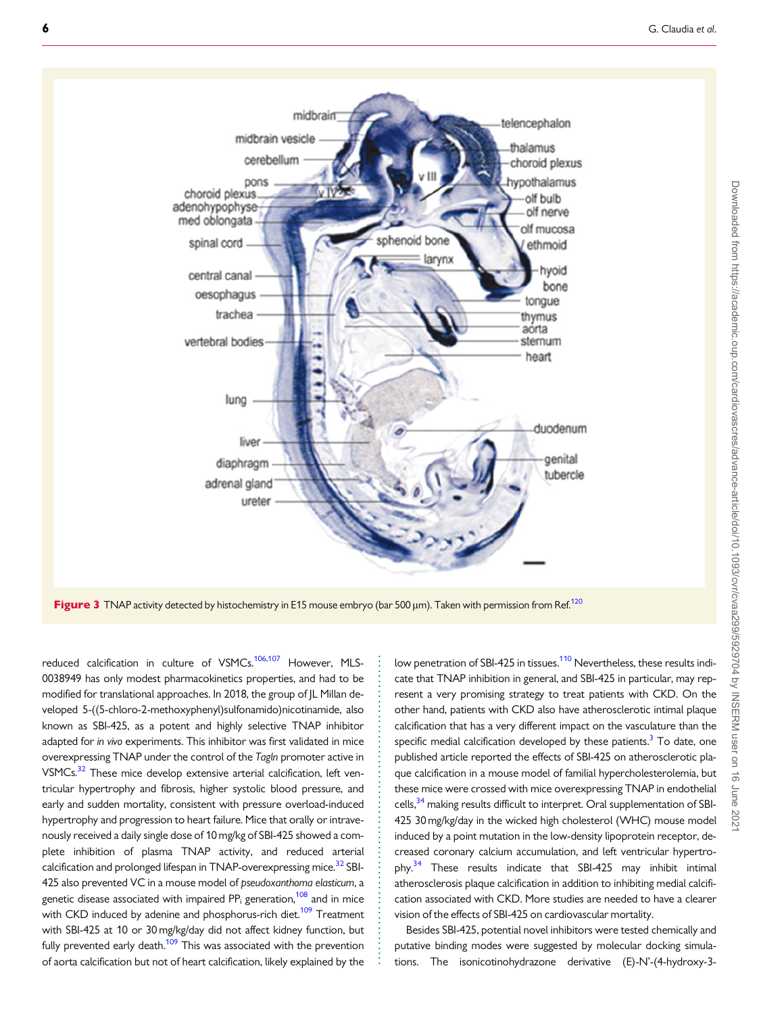<span id="page-5-0"></span>

Figure 3 TNAP activity detected by histochemistry in E15 mouse embryo (bar 500  $\mu$ m). Taken with permission from Ref.<sup>[120](#page-11-0)</sup>

. . . . . . . . . . . . . . . . . . . . . . . . . . . . . . . . . . . . . . . . . . . . . . . . . . . . . . . . . . . . .

reduced calcification in culture of VSMCs.<sup>[106](#page-10-0),[107](#page-10-0)</sup> However, MLS-0038949 has only modest pharmacokinetics properties, and had to be modified for translational approaches. In 2018, the group of JL Millan developed 5-((5-chloro-2-methoxyphenyl)sulfonamido)nicotinamide, also known as SBI-425, as a potent and highly selective TNAP inhibitor adapted for in vivo experiments. This inhibitor was first validated in mice overexpressing TNAP under the control of the Tagln promoter active in VSMCs.<sup>32</sup> These mice develop extensive arterial calcification, left ventricular hypertrophy and fibrosis, higher systolic blood pressure, and early and sudden mortality, consistent with pressure overload-induced hypertrophy and progression to heart failure. Mice that orally or intravenously received a daily single dose of 10 mg/kg of SBI-425 showed a complete inhibition of plasma TNAP activity, and reduced arterial calcification and prolonged lifespan in TNAP-overexpressing mice.<sup>[32](#page-9-0)</sup> SBI-425 also prevented VC in a mouse model of pseudoxanthoma elasticum, a genetic disease associated with impaired  $PP_i$  generation,<sup>108</sup> and in mice with CKD induced by adenine and phosphorus-rich diet.<sup>[109](#page-10-0)</sup> Treatment with SBI-425 at 10 or 30 mg/kg/day did not affect kidney function, but fully prevented early death. $109$  This was associated with the prevention of aorta calcification but not of heart calcification, likely explained by the low penetration of SBI-425 in tissues.<sup>[110](#page-10-0)</sup> Nevertheless, these results indicate that TNAP inhibition in general, and SBI-425 in particular, may represent a very promising strategy to treat patients with CKD. On the other hand, patients with CKD also have atherosclerotic intimal plaque calcification that has a very different impact on the vasculature than the specific medial calcification developed by these patients. $3$  To date, one published article reported the effects of SBI-425 on atherosclerotic plaque calcification in a mouse model of familial hypercholesterolemia, but these mice were crossed with mice overexpressing TNAP in endothelial cells, $34$  making results difficult to interpret. Oral supplementation of SBI-425 30 mg/kg/day in the wicked high cholesterol (WHC) mouse model induced by a point mutation in the low-density lipoprotein receptor, decreased coronary calcium accumulation, and left ventricular hypertrophy.<sup>34</sup> These results indicate that SBI-425 may inhibit intimal atherosclerosis plaque calcification in addition to inhibiting medial calcification associated with CKD. More studies are needed to have a clearer vision of the effects of SBI-425 on cardiovascular mortality.

Besides SBI-425, potential novel inhibitors were tested chemically and putative binding modes were suggested by molecular docking simulations. The isonicotinohydrazone derivative (E)-N'-(4-hydroxy-3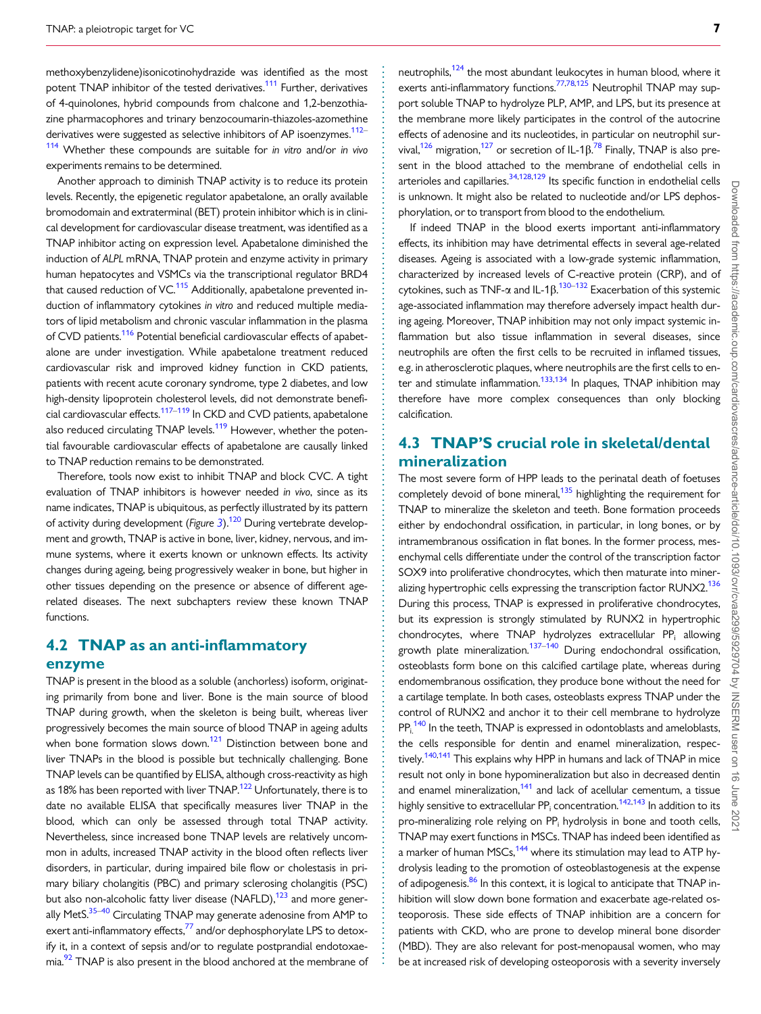<span id="page-6-0"></span>. methoxybenzylidene)isonicotinohydrazide was identified as the most potent TNAP inhibitor of the tested derivatives.<sup>111</sup> Further, derivatives of 4-quinolones, hybrid compounds from chalcone and 1,2-benzothiazine pharmacophores and trinary benzocoumarin-thiazoles-azomethine derivatives were suggested as selective inhibitors of AP isoenzymes.<sup>[112–](#page-10-0)</sup> <sup>[114](#page-10-0)</sup> Whether these compounds are suitable for in vitro and/or in vivo experiments remains to be determined.

Another approach to diminish TNAP activity is to reduce its protein levels. Recently, the epigenetic regulator apabetalone, an orally available bromodomain and extraterminal (BET) protein inhibitor which is in clinical development for cardiovascular disease treatment, was identified as a TNAP inhibitor acting on expression level. Apabetalone diminished the induction of ALPL mRNA, TNAP protein and enzyme activity in primary human hepatocytes and VSMCs via the transcriptional regulator BRD4 that caused reduction of VC.<sup>[115](#page-10-0)</sup> Additionally, apabetalone prevented induction of inflammatory cytokines in vitro and reduced multiple mediators of lipid metabolism and chronic vascular inflammation in the plasma of CVD patients.<sup>116</sup> Potential beneficial cardiovascular effects of apabetalone are under investigation. While apabetalone treatment reduced cardiovascular risk and improved kidney function in CKD patients, patients with recent acute coronary syndrome, type 2 diabetes, and low high-density lipoprotein cholesterol levels, did not demonstrate beneficial cardiovascular effects.[117](#page-10-0)–[119](#page-11-0) In CKD and CVD patients, apabetalone also reduced circulating TNAP levels.<sup>119</sup> However, whether the potential favourable cardiovascular effects of apabetalone are causally linked to TNAP reduction remains to be demonstrated.

Therefore, tools now exist to inhibit TNAP and block CVC. A tight evaluation of TNAP inhibitors is however needed in vivo, since as its name indicates, TNAP is ubiquitous, as perfectly illustrated by its pattern of activity during development (Figure [3](#page-5-0)).<sup>120</sup> During vertebrate development and growth, TNAP is active in bone, liver, kidney, nervous, and immune systems, where it exerts known or unknown effects. Its activity changes during ageing, being progressively weaker in bone, but higher in other tissues depending on the presence or absence of different agerelated diseases. The next subchapters review these known TNAP functions.

#### 4.2 TNAP as an anti-inflammatory enzyme

TNAP is present in the blood as a soluble (anchorless) isoform, originating primarily from bone and liver. Bone is the main source of blood TNAP during growth, when the skeleton is being built, whereas liver progressively becomes the main source of blood TNAP in ageing adults when bone formation slows down.<sup>121</sup> Distinction between bone and liver TNAPs in the blood is possible but technically challenging. Bone TNAP levels can be quantified by ELISA, although cross-reactivity as high as 18% has been reported with liver TNAP.<sup>122</sup> Unfortunately, there is to date no available ELISA that specifically measures liver TNAP in the blood, which can only be assessed through total TNAP activity. Nevertheless, since increased bone TNAP levels are relatively uncommon in adults, increased TNAP activity in the blood often reflects liver disorders, in particular, during impaired bile flow or cholestasis in primary biliary cholangitis (PBC) and primary sclerosing cholangitis (PSC) but also non-alcoholic fatty liver disease (NAFLD), $123$  and more generally MetS.<sup>35–40</sup> Circulating TNAP may generate adenosine from AMP to exert anti-inflammatory effects, $^{77}$  $^{77}$  $^{77}$  and/or dephosphorylate LPS to detoxify it, in a context of sepsis and/or to regulate postprandial endotoxaemia.<sup>92</sup> TNAP is also present in the blood anchored at the membrane of . . . . . . . . . . . . . . . . . . . . . . . . . . . . . . . . . . . . . . . . . . . . . . . . . . . . . . . . . . . . . . . . . . . . . . . . . . . . . . . . . . . . . . . . . . . . . . . . . . . . . . . . . . . . . . . . . . . . . . . . . . . . . . . . . . . . . . . . . . . . . . . . . . . . . . . . . . . . . . . . . . . . . . . . . . . . . . . . . . neutrophils[,124](#page-11-0) the most abundant leukocytes in human blood, where it exerts anti-inflammatory functions.<sup>77,78,[125](#page-11-0)</sup> Neutrophil TNAP may support soluble TNAP to hydrolyze PLP, AMP, and LPS, but its presence at the membrane more likely participates in the control of the autocrine effects of adenosine and its nucleotides, in particular on neutrophil survival, $^{126}$  $^{126}$  $^{126}$  migration, $^{127}$  or secretion of IL-1 $\beta$ .<sup>[78](#page-10-0)</sup> Finally, TNAP is also present in the blood attached to the membrane of endothelial cells in arterioles and capillaries. $34,128,129$  $34,128,129$  Its specific function in endothelial cells is unknown. It might also be related to nucleotide and/or LPS dephosphorylation, or to transport from blood to the endothelium.

If indeed TNAP in the blood exerts important anti-inflammatory effects, its inhibition may have detrimental effects in several age-related diseases. Ageing is associated with a low-grade systemic inflammation, characterized by increased levels of C-reactive protein (CRP), and of cytokines, such as TNF- $\alpha$  and IL-1 $\beta$ .  $^{130-132}$  Exacerbation of this systemic age-associated inflammation may therefore adversely impact health during ageing. Moreover, TNAP inhibition may not only impact systemic inflammation but also tissue inflammation in several diseases, since neutrophils are often the first cells to be recruited in inflamed tissues, e.g. in atherosclerotic plaques, where neutrophils are the first cells to enter and stimulate inflammation.<sup>133,134</sup> In plaques, TNAP inhibition may therefore have more complex consequences than only blocking calcification.

## 4.3 TNAP'S crucial role in skeletal/dental mineralization

The most severe form of HPP leads to the perinatal death of foetuses completely devoid of bone mineral, $135$  highlighting the requirement for TNAP to mineralize the skeleton and teeth. Bone formation proceeds either by endochondral ossification, in particular, in long bones, or by intramembranous ossification in flat bones. In the former process, mesenchymal cells differentiate under the control of the transcription factor SOX9 into proliferative chondrocytes, which then maturate into mineralizing hypertrophic cells expressing the transcription factor RUNX2.<sup>136</sup> During this process, TNAP is expressed in proliferative chondrocytes, but its expression is strongly stimulated by RUNX2 in hypertrophic chondrocytes, where TNAP hydrolyzes extracellular PP<sub>i</sub> allowing growth plate mineralization.<sup>137–140</sup> During endochondral ossification, osteoblasts form bone on this calcified cartilage plate, whereas during endomembranous ossification, they produce bone without the need for a cartilage template. In both cases, osteoblasts express TNAP under the control of RUNX2 and anchor it to their cell membrane to hydrolyze  $PP_i^{140}$  $PP_i^{140}$  $PP_i^{140}$  In the teeth, TNAP is expressed in odontoblasts and ameloblasts, the cells responsible for dentin and enamel mineralization, respectively.<sup>140,141</sup> This explains why HPP in humans and lack of TNAP in mice result not only in bone hypomineralization but also in decreased dentin and enamel mineralization, $141$  and lack of acellular cementum, a tissue highly sensitive to extracellular  $PP_i$  concentration.<sup>142,143</sup> In addition to its pro-mineralizing role relying on PP<sub>i</sub> hydrolysis in bone and tooth cells, TNAP may exert functions in MSCs. TNAP has indeed been identified as a marker of human MSCs, $144$  where its stimulation may lead to ATP hydrolysis leading to the promotion of osteoblastogenesis at the expense of adipogenesis.<sup>86</sup> In this context, it is logical to anticipate that TNAP inhibition will slow down bone formation and exacerbate age-related osteoporosis. These side effects of TNAP inhibition are a concern for patients with CKD, who are prone to develop mineral bone disorder (MBD). They are also relevant for post-menopausal women, who may be at increased risk of developing osteoporosis with a severity inversely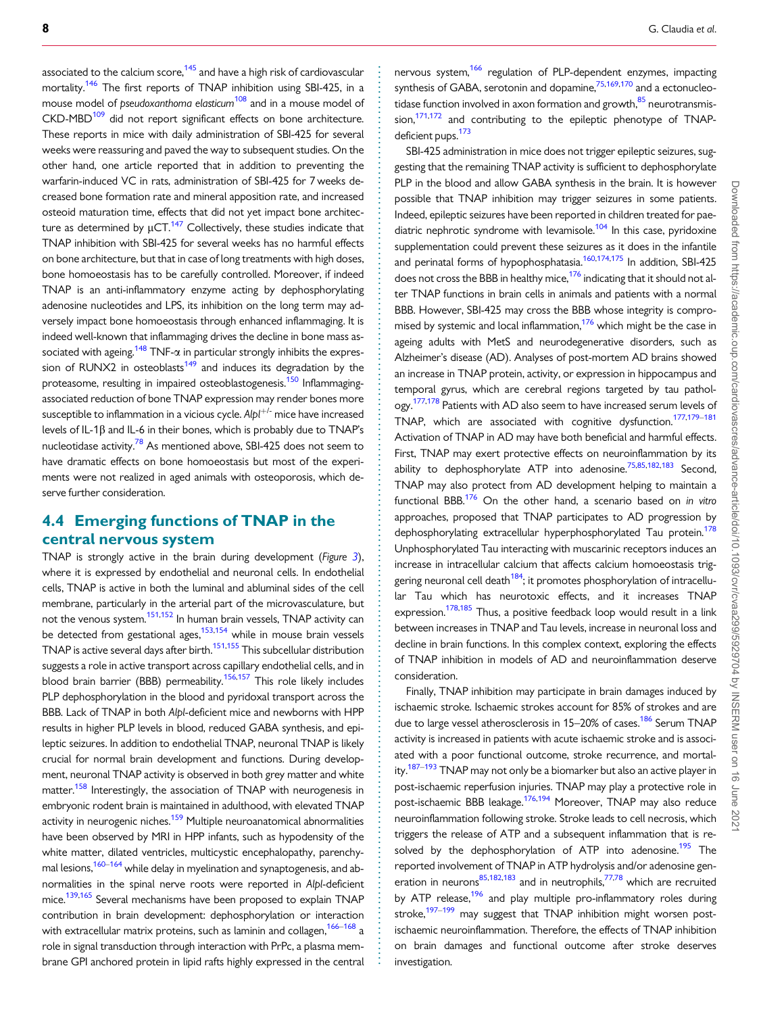<span id="page-7-0"></span>associated to the calcium score, $145$  and have a high risk of cardiovascular mortality.<sup>146</sup> The first reports of TNAP inhibition using SBI-425, in a mouse model of pseudoxanthoma elasticum<sup>[108](#page-10-0)</sup> and in a mouse model of CKD-MBD<sup>109</sup> did not report significant effects on bone architecture. These reports in mice with daily administration of SBI-425 for several weeks were reassuring and paved the way to subsequent studies. On the other hand, one article reported that in addition to preventing the warfarin-induced VC in rats, administration of SBI-425 for 7 weeks decreased bone formation rate and mineral apposition rate, and increased osteoid maturation time, effects that did not yet impact bone architecture as determined by  $\mu$ CT.<sup>[147](#page-11-0)</sup> Collectively, these studies indicate that TNAP inhibition with SBI-425 for several weeks has no harmful effects on bone architecture, but that in case of long treatments with high doses, bone homoeostasis has to be carefully controlled. Moreover, if indeed TNAP is an anti-inflammatory enzyme acting by dephosphorylating adenosine nucleotides and LPS, its inhibition on the long term may adversely impact bone homoeostasis through enhanced inflammaging. It is indeed well-known that inflammaging drives the decline in bone mass associated with ageing.<sup>148</sup> TNF- $\alpha$  in particular strongly inhibits the expression of RUNX2 in osteoblasts $149$  and induces its degradation by the proteasome, resulting in impaired osteoblastogenesis.<sup>150</sup> Inflammagingassociated reduction of bone TNAP expression may render bones more susceptible to inflammation in a vicious cycle.  $Alpl^{+/}$  mice have increased levels of IL-1 $\beta$  and IL-6 in their bones, which is probably due to TNAP's nucleotidase activity.<sup>[78](#page-10-0)</sup> As mentioned above, SBI-425 does not seem to have dramatic effects on bone homoeostasis but most of the experiments were not realized in aged animals with osteoporosis, which deserve further consideration.

## 4.4 Emerging functions of TNAP in the central nervous system

TNAP is strongly active in the brain during development (Figure  $3$ ), where it is expressed by endothelial and neuronal cells. In endothelial cells, TNAP is active in both the luminal and abluminal sides of the cell membrane, particularly in the arterial part of the microvasculature, but not the venous system.[151](#page-11-0),[152](#page-11-0) In human brain vessels, TNAP activity can be detected from gestational ages, $153,154$  while in mouse brain vessels TNAP is active several days after birth.<sup>151,155</sup> This subcellular distribution suggests a role in active transport across capillary endothelial cells, and in blood brain barrier (BBB) permeability.<sup>156,157</sup> This role likely includes PLP dephosphorylation in the blood and pyridoxal transport across the BBB. Lack of TNAP in both Alpl-deficient mice and newborns with HPP results in higher PLP levels in blood, reduced GABA synthesis, and epileptic seizures. In addition to endothelial TNAP, neuronal TNAP is likely crucial for normal brain development and functions. During development, neuronal TNAP activity is observed in both grey matter and white matter.<sup>158</sup> Interestingly, the association of TNAP with neurogenesis in embryonic rodent brain is maintained in adulthood, with elevated TNAP activity in neurogenic niches.<sup>[159](#page-11-0)</sup> Multiple neuroanatomical abnormalities have been observed by MRI in HPP infants, such as hypodensity of the white matter, dilated ventricles, multicystic encephalopathy, parenchy-mal lesions,<sup>[160–164](#page-11-0)</sup> while delay in myelination and synaptogenesis, and abnormalities in the spinal nerve roots were reported in Alpl-deficient mice.<sup>139,165</sup> Several mechanisms have been proposed to explain TNAP contribution in brain development: dephosphorylation or interaction with extracellular matrix proteins, such as laminin and collagen,  $166-168$  $166-168$  a role in signal transduction through interaction with PrPc, a plasma membrane GPI anchored protein in lipid rafts highly expressed in the central

nervous system,<sup>[166](#page-11-0)</sup> regulation of PLP-dependent enzymes, impacting synthesis of GABA, serotonin and dopamine,<sup>[75](#page-10-0),[169](#page-12-0),[170](#page-12-0)</sup> and a ectonucleotidase function involved in axon formation and growth.<sup>85</sup> neurotransmission, $171,172$  and contributing to the epileptic phenotype of TNAPdeficient pups.<sup>173</sup>

SBI-425 administration in mice does not trigger epileptic seizures, suggesting that the remaining TNAP activity is sufficient to dephosphorylate PLP in the blood and allow GABA synthesis in the brain. It is however possible that TNAP inhibition may trigger seizures in some patients. Indeed, epileptic seizures have been reported in children treated for pae-diatric nephrotic syndrome with levamisole.<sup>[104](#page-10-0)</sup> In this case, pyridoxine supplementation could prevent these seizures as it does in the infantile and perinatal forms of hypophosphatasia.<sup>160[,174,175](#page-12-0)</sup> In addition. SBI-425 does not cross the BBB in healthy mice,<sup>176</sup> indicating that it should not alter TNAP functions in brain cells in animals and patients with a normal BBB. However, SBI-425 may cross the BBB whose integrity is compromised by systemic and local inflammation, $176$  which might be the case in ageing adults with MetS and neurodegenerative disorders, such as Alzheimer's disease (AD). Analyses of post-mortem AD brains showed an increase in TNAP protein, activity, or expression in hippocampus and temporal gyrus, which are cerebral regions targeted by tau pathology.<sup>177,178</sup> Patients with AD also seem to have increased serum levels of TNAP, which are associated with cognitive dysfunction.<sup>[177,179–181](#page-12-0)</sup> Activation of TNAP in AD may have both beneficial and harmful effects. First, TNAP may exert protective effects on neuroinflammation by its ability to dephosphorylate ATP into adenosine.<sup>75,85,[182,183](#page-12-0)</sup> Second, TNAP may also protect from AD development helping to maintain a functional BBB. $176$  On the other hand, a scenario based on in vitro approaches, proposed that TNAP participates to AD progression by dephosphorylating extracellular hyperphosphorylated Tau protein.<sup>178</sup> Unphosphorylated Tau interacting with muscarinic receptors induces an increase in intracellular calcium that affects calcium homoeostasis trig-gering neuronal cell death<sup>[184](#page-12-0)</sup>; it promotes phosphorylation of intracellular Tau which has neurotoxic effects, and it increases TNAP expression.<sup>[178,185](#page-12-0)</sup> Thus, a positive feedback loop would result in a link between increases in TNAP and Tau levels, increase in neuronal loss and decline in brain functions. In this complex context, exploring the effects of TNAP inhibition in models of AD and neuroinflammation deserve consideration.

Finally, TNAP inhibition may participate in brain damages induced by ischaemic stroke. Ischaemic strokes account for 85% of strokes and are due to large vessel atherosclerosis in 15–20% of cases.<sup>186</sup> Serum TNAP activity is increased in patients with acute ischaemic stroke and is associated with a poor functional outcome, stroke recurrence, and mortality.<sup>187–193</sup> TNAP may not only be a biomarker but also an active player in post-ischaemic reperfusion injuries. TNAP may play a protective role in post-ischaemic BBB leakage.<sup>176,194</sup> Moreover, TNAP may also reduce neuroinflammation following stroke. Stroke leads to cell necrosis, which triggers the release of ATP and a subsequent inflammation that is resolved by the dephosphorylation of ATP into adenosine.<sup>195</sup> The reported involvement of TNAP in ATP hydrolysis and/or adenosine gen-eration in neurons<sup>85,[182,183](#page-12-0)</sup> and in neutrophils,<sup>77,78</sup> which are recruited by ATP release,<sup>196</sup> and play multiple pro-inflammatory roles during stroke,<sup>197-199</sup> may suggest that TNAP inhibition might worsen postischaemic neuroinflammation. Therefore, the effects of TNAP inhibition on brain damages and functional outcome after stroke deserves investigation.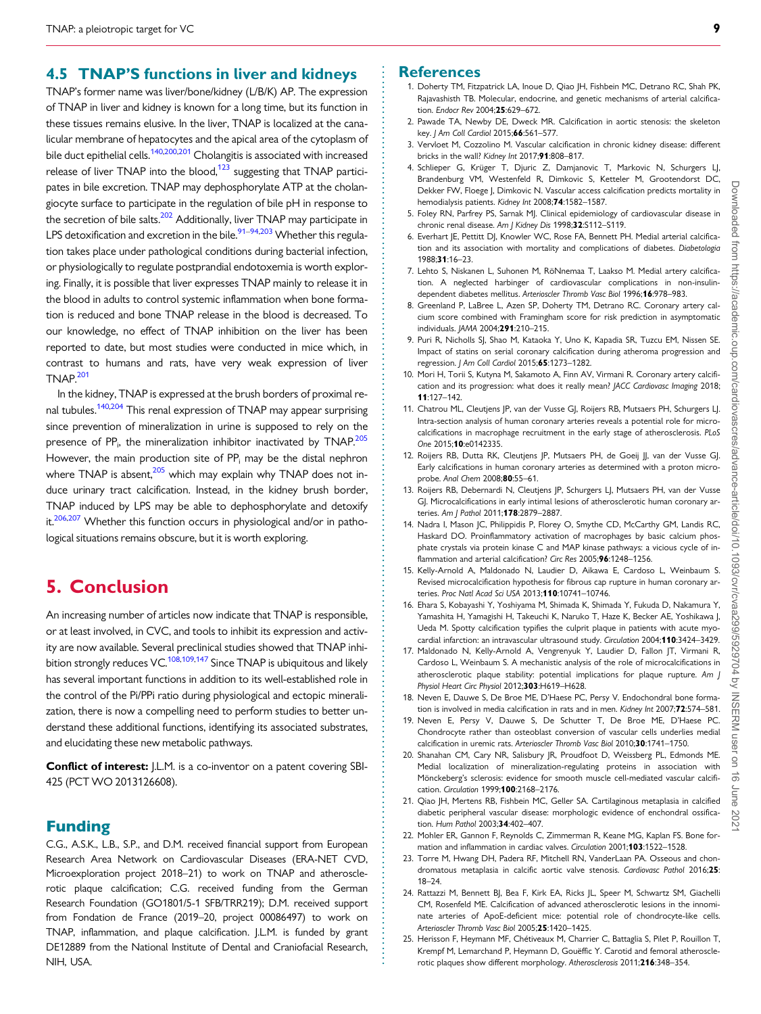#### <span id="page-8-0"></span>. 4.5 TNAP'S functions in liver and kidneys

TNAP's former name was liver/bone/kidney (L/B/K) AP. The expression of TNAP in liver and kidney is known for a long time, but its function in these tissues remains elusive. In the liver, TNAP is localized at the canalicular membrane of hepatocytes and the apical area of the cytoplasm of bile duct epithelial cells.<sup>[140,](#page-11-0)[200,201](#page-12-0)</sup> Cholangitis is associated with increased release of liver TNAP into the blood, $123$  suggesting that TNAP participates in bile excretion. TNAP may dephosphorylate ATP at the cholangiocyte surface to participate in the regulation of bile pH in response to the secretion of bile salts.<sup>202</sup> Additionally, liver TNAP may participate in LPS detoxification and excretion in the bile.<sup>91–94,[203](#page-12-0)</sup> Whether this regulation takes place under pathological conditions during bacterial infection, or physiologically to regulate postprandial endotoxemia is worth exploring. Finally, it is possible that liver expresses TNAP mainly to release it in the blood in adults to control systemic inflammation when bone formation is reduced and bone TNAP release in the blood is decreased. To our knowledge, no effect of TNAP inhibition on the liver has been reported to date, but most studies were conducted in mice which, in contrast to humans and rats, have very weak expression of liver TNAP[.201](#page-12-0)

In the kidney, TNAP is expressed at the brush borders of proximal re-nal tubules.<sup>[140](#page-11-0),[204](#page-12-0)</sup> This renal expression of TNAP may appear surprising since prevention of mineralization in urine is supposed to rely on the presence of PP<sub>i</sub>, the mineralization inhibitor inactivated by TNAP.<sup>205</sup> However, the main production site of  $PP_i$  may be the distal nephron where TNAP is absent, $205$  which may explain why TNAP does not induce urinary tract calcification. Instead, in the kidney brush border, TNAP induced by LPS may be able to dephosphorylate and detoxify it.<sup>206,207</sup> Whether this function occurs in physiological and/or in pathological situations remains obscure, but it is worth exploring.

## 5. Conclusion

An increasing number of articles now indicate that TNAP is responsible, or at least involved, in CVC, and tools to inhibit its expression and activity are now available. Several preclinical studies showed that TNAP inhi-bition strongly reduces VC.<sup>108,109[,147](#page-11-0)</sup> Since TNAP is ubiquitous and likely has several important functions in addition to its well-established role in the control of the Pi/PPi ratio during physiological and ectopic mineralization, there is now a compelling need to perform studies to better understand these additional functions, identifying its associated substrates, and elucidating these new metabolic pathways.

**Conflict of interest:** J.L.M. is a co-inventor on a patent covering SBI-425 (PCT WO 2013126608).

#### Funding

C.G., A.S.K., L.B., S.P., and D.M. received financial support from European Research Area Network on Cardiovascular Diseases (ERA-NET CVD, Microexploration project 2018–21) to work on TNAP and atherosclerotic plaque calcification; C.G. received funding from the German Research Foundation (GO1801/5-1 SFB/TRR219); D.M. received support from Fondation de France (2019–20, project 00086497) to work on TNAP, inflammation, and plaque calcification. J.L.M. is funded by grant DE12889 from the National Institute of Dental and Craniofacial Research, NIH, USA.

#### **References**

- [1.](#page-1-0) Doherty TM, Fitzpatrick LA, Inoue D, Qiao JH, Fishbein MC, Detrano RC, Shah PK, Rajavashisth TB. Molecular, endocrine, and genetic mechanisms of arterial calcification. Endocr Rev 2004;25:629–672.
- [2.](#page-1-0) Pawade TA, Newby DE, Dweck MR. Calcification in aortic stenosis: the skeleton key. J Am Coll Cardiol 2015;66:561-577.
- [3.](#page-1-0) Vervloet M, Cozzolino M. Vascular calcification in chronic kidney disease: different bricks in the wall? Kidney Int 2017;91:808–817.
- [4.](#page-1-0) Schlieper G, Krüger T, Djuric Z, Damjanovic T, Markovic N, Schurgers LJ, Brandenburg VM, Westenfeld R, Dimkovic S, Ketteler M, Grootendorst DC, Dekker FW, Floege J, Dimkovic N. Vascular access calcification predicts mortality in hemodialysis patients. Kidney Int 2008;74:1582–1587.
- [5.](#page-1-0) Foley RN, Parfrey PS, Sarnak MJ. Clinical epidemiology of cardiovascular disease in chronic renal disease. Am J Kidney Dis 1998;32:S112-S119.
- [6.](#page-1-0) Everhart JE, Pettitt DJ, Knowler WC, Rose FA, Bennett PH. Medial arterial calcification and its association with mortality and complications of diabetes. Diabetologia 1988;31:16–23.
- [7.](#page-1-0) Lehto S, Niskanen L, Suhonen M, RöNnemaa T, Laakso M. Medial artery calcification. A neglected harbinger of cardiovascular complications in non-insulindependent diabetes mellitus. Arterioscler Thromb Vasc Biol 1996;16:978–983.
- [8.](#page-1-0) Greenland P, LaBree L, Azen SP, Doherty TM, Detrano RC. Coronary artery calcium score combined with Framingham score for risk prediction in asymptomatic individuals. JAMA 2004;291:210–215.
- [9.](#page-1-0) Puri R, Nicholls SJ, Shao M, Kataoka Y, Uno K, Kapadia SR, Tuzcu EM, Nissen SE. Impact of statins on serial coronary calcification during atheroma progression and regression. J Am Coll Cardiol 2015;65:1273-1282.
- [10.](#page-1-0) Mori H, Torii S, Kutyna M, Sakamoto A, Finn AV, Virmani R. Coronary artery calcification and its progression: what does it really mean? JACC Cardiovasc Imaging 2018; 11:127–142.
- 11. Chatrou ML, Cleutjens JP, van der Vusse GJ, Roijers RB, Mutsaers PH, Schurgers LJ. Intra-section analysis of human coronary arteries reveals a potential role for microcalcifications in macrophage recruitment in the early stage of atherosclerosis. PLoS One 2015;10:e0142335.
- 12. Roijers RB, Dutta RK, Cleutjens JP, Mutsaers PH, de Goeij JJ, van der Vusse GJ. Early calcifications in human coronary arteries as determined with a proton microprobe. Anal Chem 2008:80:55-61.
- 13. Roijers RB, Debernardi N, Cleutjens JP, Schurgers LJ, Mutsaers PH, van der Vusse GJ. Microcalcifications in early intimal lesions of atherosclerotic human coronary arteries. Am | Pathol 2011;178:2879-2887.
- 14. Nadra I, Mason JC, Philippidis P, Florey O, Smythe CD, McCarthy GM, Landis RC, Haskard DO. Proinflammatory activation of macrophages by basic calcium phosphate crystals via protein kinase C and MAP kinase pathways: a vicious cycle of inflammation and arterial calcification? Circ Res 2005:96:1248-1256.
- 15. Kelly-Arnold A, Maldonado N, Laudier D, Aikawa E, Cardoso L, Weinbaum S. Revised microcalcification hypothesis for fibrous cap rupture in human coronary arteries. Proc Natl Acad Sci USA 2013;110:10741–10746.
- 16. Ehara S, Kobayashi Y, Yoshiyama M, Shimada K, Shimada Y, Fukuda D, Nakamura Y, Yamashita H, Yamagishi H, Takeuchi K, Naruko T, Haze K, Becker AE, Yoshikawa J, Ueda M. Spotty calcification typifies the culprit plaque in patients with acute myocardial infarction: an intravascular ultrasound study. Circulation 2004;110:3424–3429.
- 17. Maldonado N, Kelly-Arnold A, Vengrenyuk Y, Laudier D, Fallon JT, Virmani R, Cardoso L, Weinbaum S. A mechanistic analysis of the role of microcalcifications in atherosclerotic plaque stability: potential implications for plaque rupture. Am J Physiol Heart Circ Physiol 2012;303:H619-H628.
- [18.](#page-2-0) Neven E, Dauwe S, De Broe ME, D'Haese PC, Persy V. Endochondral bone formation is involved in media calcification in rats and in men. Kidney Int 2007;72:574-581.
- [19.](#page-2-0) Neven E, Persy V, Dauwe S, De Schutter T, De Broe ME, D'Haese PC. Chondrocyte rather than osteoblast conversion of vascular cells underlies medial calcification in uremic rats. Arterioscler Thromb Vasc Biol 2010;30:1741–1750.
- [20.](#page-2-0) Shanahan CM, Cary NR, Salisbury JR, Proudfoot D, Weissberg PL, Edmonds ME. Medial localization of mineralization-regulating proteins in association with Mönckeberg's sclerosis: evidence for smooth muscle cell-mediated vascular calcification. Circulation 1999;100:2168–2176.
- [21.](#page-2-0) Qiao JH, Mertens RB, Fishbein MC, Geller SA. Cartilaginous metaplasia in calcified diabetic peripheral vascular disease: morphologic evidence of enchondral ossification. Hum Pathol 2003:34:402-407.
- [22.](#page-2-0) Mohler ER, Gannon F, Reynolds C, Zimmerman R, Keane MG, Kaplan FS. Bone formation and inflammation in cardiac valves. Circulation 2001;103:1522-1528.
- [23.](#page-2-0) Torre M, Hwang DH, Padera RF, Mitchell RN, VanderLaan PA. Osseous and chondromatous metaplasia in calcific aortic valve stenosis. Cardiovasc Pathol 2016;25: 18–24.
- 24. Rattazzi M, Bennett BJ, Bea F, Kirk EA, Ricks JL, Speer M, Schwartz SM, Giachelli CM, Rosenfeld ME. Calcification of advanced atherosclerotic lesions in the innominate arteries of ApoE-deficient mice: potential role of chondrocyte-like cells. Arterioscler Thromb Vasc Biol 2005;25:1420–1425.
- 25. Herisson F, Heymann MF, Chétiveaux M, Charrier C, Battaglia S, Pilet P, Rouillon T, Krempf M, Lemarchand P, Heymann D, Gouëffic Y. Carotid and femoral atherosclerotic plaques show different morphology. Atherosclerosis 2011;216:348–354.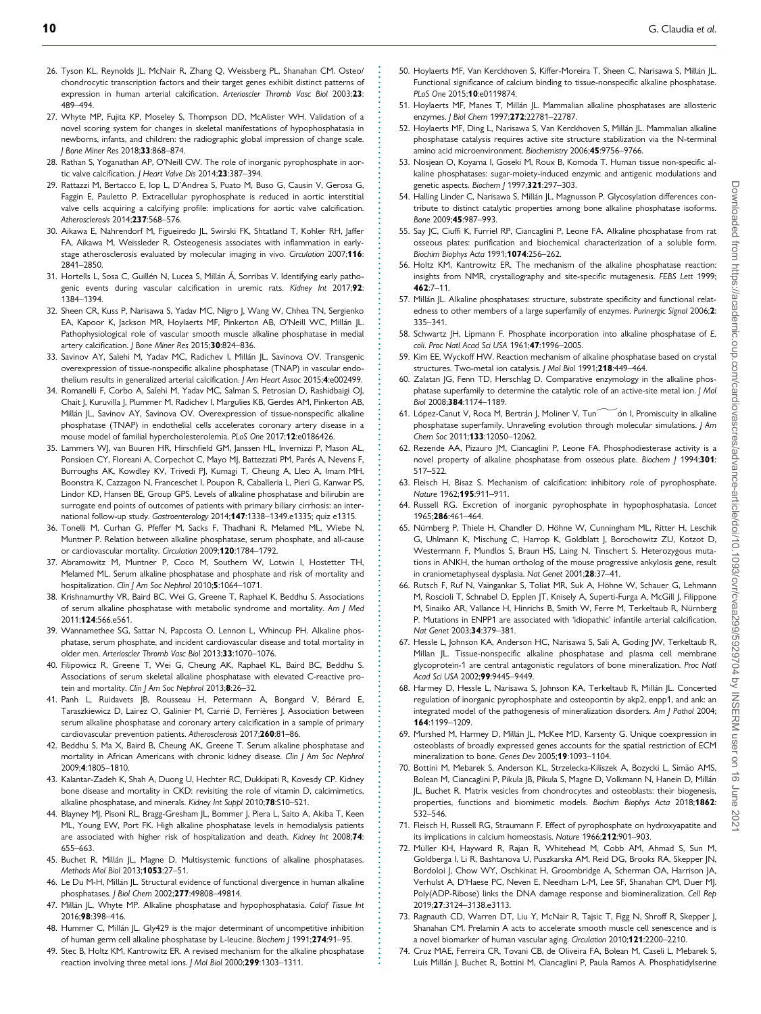- <span id="page-9-0"></span>26. Tyson KL, Reynolds JL, McNair R, Zhang Q, Weissberg PL, Shanahan CM. Osteo/ chondrocytic transcription factors and their target genes exhibit distinct patterns of expression in human arterial calcification. Arterioscler Thromb Vasc Biol 2003;23: 489–494.
- [27.](#page-2-0) Whyte MP, Fujita KP, Moseley S, Thompson DD, McAlister WH. Validation of a novel scoring system for changes in skeletal manifestations of hypophosphatasia in newborns, infants, and children: the radiographic global impression of change scale. J Bone Miner Res 2018;33:868–874.
- [28.](#page-2-0) Rathan S, Yoganathan AP, O'Neill CW. The role of inorganic pyrophosphate in aortic valve calcification. J Heart Valve Dis 2014;23:387–394.
- [29.](#page-2-0) Rattazzi M, Bertacco E, Iop L, D'Andrea S, Puato M, Buso G, Causin V, Gerosa G, Faggin E, Pauletto P. Extracellular pyrophosphate is reduced in aortic interstitial valve cells acquiring a calcifying profile: implications for aortic valve calcification. Atherosclerosis 2014;237:568–576.
- [30.](#page-2-0) Aikawa E, Nahrendorf M, Figueiredo JL, Swirski FK, Shtatland T, Kohler RH, Jaffer FA, Aikawa M, Weissleder R. Osteogenesis associates with inflammation in earlystage atherosclerosis evaluated by molecular imaging in vivo. Circulation 2007;116: 2841–2850.
- [31.](#page-2-0) Hortells L, Sosa C, Guillén N, Lucea S, Millán Á, Sorribas V. Identifying early pathogenic events during vascular calcification in uremic rats. Kidney Int 2017;92: 1384–1394.
- [32.](#page-5-0) Sheen CR, Kuss P, Narisawa S, Yadav MC, Nigro J, Wang W, Chhea TN, Sergienko EA, Kapoor K, Jackson MR, Hoylaerts MF, Pinkerton AB, O'Neill WC, Millán JL. Pathophysiological role of vascular smooth muscle alkaline phosphatase in medial artery calcification. *I Bone Miner Res* 2015:30:824-836.
- 33. Savinov AY, Salehi M, Yadav MC, Radichev I, Millán JL, Savinova OV. Transgenic overexpression of tissue-nonspecific alkaline phosphatase (TNAP) in vascular endothelium results in generalized arterial calcification. J Am Heart Assoc 2015;4:e002499.
- [34.](#page-5-0) Romanelli F, Corbo A, Salehi M, Yadav MC, Salman S, Petrosian D, Rashidbaigi OJ, Chait J, Kuruvilla J, Plummer M, Radichev I, Margulies KB, Gerdes AM, Pinkerton AB, Millán JL, Savinov AY, Savinova OV. Overexpression of tissue-nonspecific alkaline phosphatase (TNAP) in endothelial cells accelerates coronary artery disease in a mouse model of familial hypercholesterolemia. PLoS One 2017;12:e0186426.
- 35. Lammers WJ, van Buuren HR, Hirschfield GM, Janssen HL, Invernizzi P, Mason AL, Ponsioen CY, Floreani A, Corpechot C, Mayo MJ, Battezzati PM, Parés A, Nevens F, Burroughs AK, Kowdley KV, Trivedi PJ, Kumagi T, Cheung A, Lleo A, Imam MH, Boonstra K, Cazzagon N, Franceschet I, Poupon R, Caballeria L, Pieri G, Kanwar PS, Lindor KD, Hansen BE, Group GPS. Levels of alkaline phosphatase and bilirubin are surrogate end points of outcomes of patients with primary biliary cirrhosis: an international follow-up study. Gastroenterology 2014;147:1338–1349.e1335; quiz e1315.
- 36. Tonelli M, Curhan G, Pfeffer M, Sacks F, Thadhani R, Melamed ML, Wiebe N, Muntner P. Relation between alkaline phosphatase, serum phosphate, and all-cause or cardiovascular mortality. Circulation 2009;120:1784–1792.
- 37. Abramowitz M, Muntner P, Coco M, Southern W, Lotwin I, Hostetter TH, Melamed ML. Serum alkaline phosphatase and phosphate and risk of mortality and hospitalization. Clin | Am Soc Nephrol 2010;5:1064-1071.
- 38. Krishnamurthy VR, Baird BC, Wei G, Greene T, Raphael K, Beddhu S. Associations of serum alkaline phosphatase with metabolic syndrome and mortality. Am J Med 2011;124:566.e561.
- 39. Wannamethee SG, Sattar N, Papcosta O, Lennon L, Whincup PH. Alkaline phosphatase, serum phosphate, and incident cardiovascular disease and total mortality in older men. Arterioscler Thromb Vasc Biol 2013;33:1070–1076.
- 40. Filipowicz R, Greene T, Wei G, Cheung AK, Raphael KL, Baird BC, Beddhu S. Associations of serum skeletal alkaline phosphatase with elevated C-reactive protein and mortality. Clin J Am Soc Nephrol 2013;8:26-32.
- [41.](#page-2-0) Panh L, Ruidavets JB, Rousseau H, Petermann A, Bongard V, Bérard E, Taraszkiewicz D, Lairez O, Galinier M, Carrié D, Ferrières J. Association between serum alkaline phosphatase and coronary artery calcification in a sample of primary cardiovascular prevention patients. Atherosclerosis 2017;260:81–86.
- 42. Beddhu S, Ma X, Baird B, Cheung AK, Greene T. Serum alkaline phosphatase and mortality in African Americans with chronic kidney disease. Clin J Am Soc Nephrol 2009;4:1805–1810.
- 43. Kalantar-Zadeh K, Shah A, Duong U, Hechter RC, Dukkipati R, Kovesdy CP. Kidney bone disease and mortality in CKD: revisiting the role of vitamin D, calcimimetics, alkaline phosphatase, and minerals. Kidney Int Suppl 2010;78:S10–S21.
- 44. Blayney MJ, Pisoni RL, Bragg-Gresham JL, Bommer J, Piera L, Saito A, Akiba T, Keen ML, Young EW, Port FK. High alkaline phosphatase levels in hemodialysis patients are associated with higher risk of hospitalization and death. Kidney Int 2008;74: 655–663.
- [45.](#page-2-0) Buchet R, Millán JL, Magne D. Multisystemic functions of alkaline phosphatases. Methods Mol Biol 2013;1053:27–51.
- [46.](#page-2-0) Le Du M-H, Millán JL. Structural evidence of functional divergence in human alkaline phosphatases. J Biol Chem 2002;277:49808–49814.
- [47.](#page-2-0) Millán JL, Whyte MP. Alkaline phosphatase and hypophosphatasia. Calcif Tissue Int 2016;98:398–416.
- [48.](#page-2-0) Hummer C, Millán JL. Gly429 is the major determinant of uncompetitive inhibition of human germ cell alkaline phosphatase by L-leucine. Biochem / 1991;274:91-95.
- [49.](#page-2-0) Stec B, Holtz KM, Kantrowitz ER. A revised mechanism for the alkaline phosphatase reaction involving three metal ions. J Mol Biol 2000;299:1303–1311.

- [50.](#page-2-0) Hoylaerts MF, Van Kerckhoven S, Kiffer-Moreira T, Sheen C, Narisawa S, Millán JL. Functional significance of calcium binding to tissue-nonspecific alkaline phosphatase. PLoS One 2015;10:e0119874.
- [51.](#page-3-0) Hoylaerts MF, Manes T, Millán JL. Mammalian alkaline phosphatases are allosteric enzymes. J Biol Chem 1997;272:22781–22787.
- [52.](#page-3-0) Hoylaerts MF, Ding L, Narisawa S, Van Kerckhoven S, Millán JL. Mammalian alkaline phosphatase catalysis requires active site structure stabilization via the N-terminal amino acid microenvironment. Biochemistry 2006;45:9756–9766.
- [53.](#page-3-0) Nosjean O, Koyama I, Goseki M, Roux B, Komoda T. Human tissue non-specific alkaline phosphatases: sugar-moiety-induced enzymic and antigenic modulations and genetic aspects. Biochem J 1997;321:297-303.
- [54.](#page-3-0) Halling Linder C, Narisawa S, Millán JL, Magnusson P. Glycosylation differences contribute to distinct catalytic properties among bone alkaline phosphatase isoforms. Bone 2009;45:987–993.
- [55.](#page-3-0) Say JC, Ciuffi K, Furriel RP, Ciancaglini P, Leone FA. Alkaline phosphatase from rat osseous plates: purification and biochemical characterization of a soluble form. Biochim Biophys Acta 1991;1074:256–262.
- [56.](#page-3-0) Holtz KM, Kantrowitz ER. The mechanism of the alkaline phosphatase reaction: insights from NMR, crystallography and site-specific mutagenesis. FEBS Lett 1999; 462:7–11.
- [57.](#page-3-0) Millán JL. Alkaline phosphatases: structure, substrate specificity and functional relatedness to other members of a large superfamily of enzymes. Purinergic Signal 2006;2: 335–341.
- [58.](#page-3-0) Schwartz JH, Lipmann F. Phosphate incorporation into alkaline phosphatase of E. coli. Proc Natl Acad Sci USA 1961;47:1996–2005.
- [59.](#page-3-0) Kim EE, Wyckoff HW. Reaction mechanism of alkaline phosphatase based on crystal structures. Two-metal ion catalysis. J Mol Biol 1991;218:449–464.
- [60.](#page-3-0) Zalatan JG, Fenn TD, Herschlag D. Comparative enzymology in the alkaline phosphatase superfamily to determine the catalytic role of an active-site metal ion. J Mol Biol 2008;384:1174–1189.
- [61.](#page-3-0) López-Canut V, Roca M, Bertrán J, Moliner V, Tun<sup>ov</sup>ón I, Promiscuity in alkaline phosphatase superfamily. Unraveling evolution through molecular simulations. J Am Chem Soc 2011;133:12050–12062.
- [62.](#page-3-0) Rezende AA, Pizauro JM, Ciancaglini P, Leone FA. Phosphodiesterase activity is a novel property of alkaline phosphatase from osseous plate. Biochem / 1994;301: 517–522.
- [63.](#page-3-0) Fleisch H, Bisaz S. Mechanism of calcification: inhibitory role of pyrophosphate. Nature 1962;195:911–911.
- [64.](#page-3-0) Russell RG. Excretion of inorganic pyrophosphate in hypophosphatasia. Lancet 1965;286:461–464.
- [65.](#page-3-0) Nürnberg P, Thiele H, Chandler D, Höhne W, Cunningham ML, Ritter H, Leschik G, Uhlmann K, Mischung C, Harrop K, Goldblatt J, Borochowitz ZU, Kotzot D, Westermann F, Mundlos S, Braun HS, Laing N, Tinschert S. Heterozygous mutations in ANKH, the human ortholog of the mouse progressive ankylosis gene, result in craniometaphyseal dysplasia. Nat Genet 2001;28:37–41.
- [66.](#page-3-0) Rutsch F, Ruf N, Vaingankar S, Toliat MR, Suk A, Höhne W, Schauer G, Lehmann M, Roscioli T, Schnabel D, Epplen JT, Knisely A, Superti-Furga A, McGill J, Filippone M, Sinaiko AR, Vallance H, Hinrichs B, Smith W, Ferre M, Terkeltaub R, Nürnberg P. Mutations in ENPP1 are associated with 'idiopathic' infantile arterial calcification. Nat Genet 2003;34:379–381.
- [67.](#page-3-0) Hessle L, Johnson KA, Anderson HC, Narisawa S, Sali A, Goding JW, Terkeltaub R, Millan JL. Tissue-nonspecific alkaline phosphatase and plasma cell membrane glycoprotein-1 are central antagonistic regulators of bone mineralization. Proc Natl Acad Sci USA 2002;99:9445–9449.
- [68.](#page-3-0) Harmey D, Hessle L, Narisawa S, Johnson KA, Terkeltaub R, Millán JL. Concerted regulation of inorganic pyrophosphate and osteopontin by akp2, enpp1, and ank: an integrated model of the pathogenesis of mineralization disorders. Am J Pathol 2004; 164:1199–1209.
- [69.](#page-3-0) Murshed M, Harmey D, Millán JL, McKee MD, Karsenty G. Unique coexpression in osteoblasts of broadly expressed genes accounts for the spatial restriction of ECM mineralization to bone. Genes Dev 2005;19:1093–1104.
- [70.](#page-3-0) Bottini M, Mebarek S, Anderson KL, Strzelecka-Kiliszek A, Bozycki L, Simão AMS, Bolean M, Ciancaglini P, Pikula JB, Pikula S, Magne D, Volkmann N, Hanein D, Millán JL, Buchet R. Matrix vesicles from chondrocytes and osteoblasts: their biogenesis, properties, functions and biomimetic models. Biochim Biophys Acta 2018;1862: 532–546.
- [71.](#page-4-0) Fleisch H, Russell RG, Straumann F. Effect of pyrophosphate on hydroxyapatite and its implications in calcium homeostasis. Nature 1966;212:901–903.
- [72.](#page-4-0) Müller KH, Hayward R, Rajan R, Whitehead M, Cobb AM, Ahmad S, Sun M, Goldberga I, Li R, Bashtanova U, Puszkarska AM, Reid DG, Brooks RA, Skepper JN, Bordoloi J, Chow WY, Oschkinat H, Groombridge A, Scherman OA, Harrison JA, Verhulst A, D'Haese PC, Neven E, Needham L-M, Lee SF, Shanahan CM, Duer MJ. Poly(ADP-Ribose) links the DNA damage response and biomineralization. Cell Rep 2019;27:3124–3138.e3113.
- [73.](#page-4-0) Ragnauth CD, Warren DT, Liu Y, McNair R, Tajsic T, Figg N, Shroff R, Skepper J, Shanahan CM. Prelamin A acts to accelerate smooth muscle cell senescence and is a novel biomarker of human vascular aging. Circulation 2010;121:2200–2210.
- [74.](#page-4-0) Cruz MAE, Ferreira CR, Tovani CB, de Oliveira FA, Bolean M, Caseli L, Mebarek S, Luis Millán J, Buchet R, Bottini M, Ciancaglini P, Paula Ramos A. Phosphatidylserine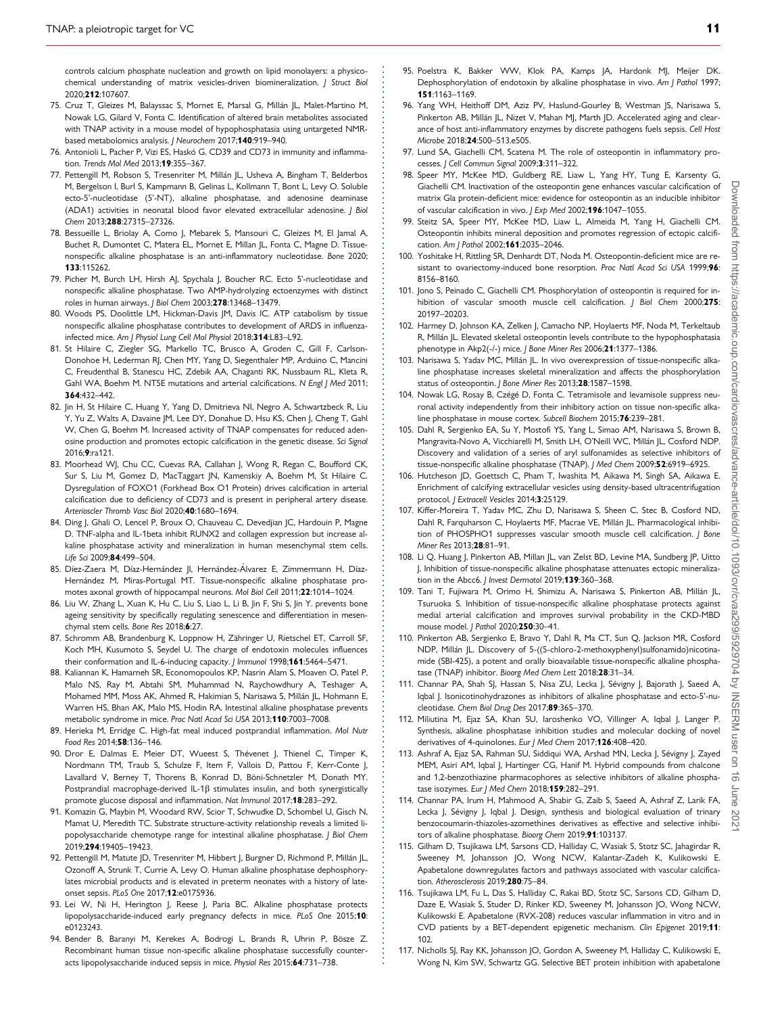<span id="page-10-0"></span>. controls calcium phosphate nucleation and growth on lipid monolayers: a physicochemical understanding of matrix vesicles-driven biomineralization. J Struct Biol 2020;212:107607.

- [75.](#page-4-0) Cruz T, Gleizes M, Balayssac S, Mornet E, Marsal G, Millán JL, Malet-Martino M, Nowak LG, Gilard V, Fonta C. Identification of altered brain metabolites associated with TNAP activity in a mouse model of hypophosphatasia using untargeted NMRbased metabolomics analysis. J Neurochem 2017;140:919-940.
- [76.](#page-4-0) Antonioli L, Pacher P, Vizi ES, Haskó G. CD39 and CD73 in immunity and inflammation. Trends Mol Med 2013;19:355–367.
- [77.](#page-4-0) Pettengill M, Robson S, Tresenriter M, Millán JL, Usheva A, Bingham T, Belderbos M, Bergelson I, Burl S, Kampmann B, Gelinas L, Kollmann T, Bont L, Levy O. Soluble ecto-5'-nucleotidase (5'-NT), alkaline phosphatase, and adenosine deaminase (ADA1) activities in neonatal blood favor elevated extracellular adenosine. *| Biol* Chem 2013;288:27315–27326.
- [78.](#page-4-0) Bessueille L, Briolay A, Como J, Mebarek S, Mansouri C, Gleizes M, El Jamal A, Buchet R, Dumontet C, Matera EL, Mornet E, Millan JL, Fonta C, Magne D. Tissuenonspecific alkaline phosphatase is an anti-inflammatory nucleotidase. Bone 2020; 133:115262.
- [79.](#page-4-0) Picher M, Burch LH, Hirsh AJ, Spychala J, Boucher RC. Ecto 5'-nucleotidase and nonspecific alkaline phosphatase. Two AMP-hydrolyzing ectoenzymes with distinct roles in human airways. J Biol Chem 2003;278:13468–13479.
- [80.](#page-4-0) Woods PS, Doolittle LM, Hickman-Davis JM, Davis IC. ATP catabolism by tissue nonspecific alkaline phosphatase contributes to development of ARDS in influenzainfected mice. Am | Physiol Lung Cell Mol Physiol 2018;314:L83-L92.
- [81.](#page-4-0) St Hilaire C, Ziegler SG, Markello TC, Brusco A, Groden C, Gill F, Carlson-Donohoe H, Lederman RJ, Chen MY, Yang D, Siegenthaler MP, Arduino C, Mancini C, Freudenthal B, Stanescu HC, Zdebik AA, Chaganti RK, Nussbaum RL, Kleta R, Gahl WA, Boehm M. NT5E mutations and arterial calcifications. N Engl J Med 2011; 364:432–442.
- [82.](#page-4-0) Jin H, St Hilaire C, Huang Y, Yang D, Dmitrieva NI, Negro A, Schwartzbeck R, Liu Y, Yu Z, Walts A, Davaine JM, Lee DY, Donahue D, Hsu KS, Chen J, Cheng T, Gahl W, Chen G, Boehm M. Increased activity of TNAP compensates for reduced adenosine production and promotes ectopic calcification in the genetic disease. Sci Signal 2016;9:ra121.
- [83.](#page-4-0) Moorhead WJ, Chu CC, Cuevas RA, Callahan J, Wong R, Regan C, Boufford CK, Sur S, Liu M, Gomez D, MacTaggart JN, Kamenskiy A, Boehm M, St Hilaire C. Dysregulation of FOXO1 (Forkhead Box O1 Protein) drives calcification in arterial calcification due to deficiency of CD73 and is present in peripheral artery disease. Arterioscler Thromb Vasc Biol 2020;40:1680–1694.
- [84.](#page-4-0) Ding J, Ghali O, Lencel P, Broux O, Chauveau C, Devedjian JC, Hardouin P, Magne D. TNF-alpha and IL-1beta inhibit RUNX2 and collagen expression but increase alkaline phosphatase activity and mineralization in human mesenchymal stem cells. Life Sci 2009;84:499–504.
- [85.](#page-4-0) Díez-Zaera M, Díaz-Hernández JI, Hernández-Álvarez E, Zimmermann H, Díaz-Hernández M, Miras-Portugal MT. Tissue-nonspecific alkaline phosphatase promotes axonal growth of hippocampal neurons. Mol Biol Cell 2011;22:1014–1024.
- [86.](#page-4-0) Liu W, Zhang L, Xuan K, Hu C, Liu S, Liao L, Li B, Jin F, Shi S, Jin Y. prevents bone ageing sensitivity by specifically regulating senescence and differentiation in mesenchymal stem cells. Bone Res 2018;6:27.
- [87.](#page-4-0) Schromm AB, Brandenburg K, Loppnow H, Zähringer U, Rietschel ET, Carroll SF, Koch MH, Kusumoto S, Seydel U. The charge of endotoxin molecules influences their conformation and IL-6-inducing capacity. J Immunol 1998;161:5464-5471.
- [88.](#page-4-0) Kaliannan K, Hamarneh SR, Economopoulos KP, Nasrin Alam S, Moaven O, Patel P, Malo NS, Ray M, Abtahi SM, Muhammad N, Raychowdhury A, Teshager A, Mohamed MM, Moss AK, Ahmed R, Hakimian S, Narisawa S, Millán JL, Hohmann E, Warren HS, Bhan AK, Malo MS, Hodin RA. Intestinal alkaline phosphatase prevents metabolic syndrome in mice. Proc Natl Acad Sci USA 2013;110:7003–7008.
- [89.](#page-4-0) Herieka M, Erridge C. High-fat meal induced postprandial inflammation. Mol Nutr Food Res 2014;58:136–146.
- [90.](#page-4-0) Dror E, Dalmas E, Meier DT, Wueest S, Thévenet J, Thienel C, Timper K, Nordmann TM, Traub S, Schulze F, Item F, Vallois D, Pattou F, Kerr-Conte J, Lavallard V, Berney T, Thorens B, Konrad D, Böni-Schnetzler M, Donath MY. Postprandial macrophage-derived IL-1 $\beta$  stimulates insulin, and both synergistically promote glucose disposal and inflammation. Nat Immunol 2017;18:283–292.
- 91. Komazin G, Maybin M, Woodard RW, Scior T, Schwudke D, Schombel U, Gisch N, Mamat U, Meredith TC. Substrate structure-activity relationship reveals a limited lipopolysaccharide chemotype range for intestinal alkaline phosphatase. J Biol Chem 2019;294:19405–19423.
- [92.](#page-6-0) Pettengill M, Matute JD, Tresenriter M, Hibbert J, Burgner D, Richmond P, Millán JL, Ozonoff A, Strunk T, Currie A, Levy O. Human alkaline phosphatase dephosphorylates microbial products and is elevated in preterm neonates with a history of lateonset sepsis. PLoS One 2017;12:e0175936.
- 93. Lei W, Ni H, Herington J, Reese J, Paria BC. Alkaline phosphatase protects lipopolysaccharide-induced early pregnancy defects in mice. PLoS One 2015;10: e0123243.
- 94. Bender B, Baranyi M, Kerekes A, Bodrogi L, Brands R, Uhrin P, Bösze Z. Recombinant human tissue non-specific alkaline phosphatase successfully counteracts lipopolysaccharide induced sepsis in mice. Physiol Res 2015;64:731–738.

- 95. Poelstra K, Bakker WW, Klok PA, Kamps JA, Hardonk MJ, Meijer DK. Dephosphorylation of endotoxin by alkaline phosphatase in vivo. Am J Pathol 1997; 151:1163–1169.
- 96. Yang WH, Heithoff DM, Aziz PV, Haslund-Gourley B, Westman JS, Narisawa S, Pinkerton AB, Millán JL, Nizet V, Mahan MJ, Marth JD. Accelerated aging and clearance of host anti-inflammatory enzymes by discrete pathogens fuels sepsis. Cell Host Microbe 2018;24:500–513.e505.
- [97.](#page-4-0) Lund SA, Giachelli CM, Scatena M. The role of osteopontin in inflammatory processes. J Cell Commun Signal 2009;3:311-322.
- [98.](#page-4-0) Speer MY, McKee MD, Guldberg RE, Liaw L, Yang HY, Tung E, Karsenty G, Giachelli CM. Inactivation of the osteopontin gene enhances vascular calcification of matrix Gla protein-deficient mice: evidence for osteopontin as an inducible inhibitor of vascular calcification in vivo. J Exp Med 2002;196:1047–1055.
- [99.](#page-4-0) Steitz SA, Speer MY, McKee MD, Liaw L, Almeida M, Yang H, Giachelli CM. Osteopontin inhibits mineral deposition and promotes regression of ectopic calcification. Am | Pathol 2002;161:2035-2046.
- [100.](#page-4-0) Yoshitake H, Rittling SR, Denhardt DT, Noda M. Osteopontin-deficient mice are resistant to ovariectomy-induced bone resorption. Proc Natl Acad Sci USA 1999;96: 8156–8160.
- [101.](#page-4-0) Jono S, Peinado C, Giachelli CM. Phosphorylation of osteopontin is required for inhibition of vascular smooth muscle cell calcification. J Biol Chem 2000;275: 20197–20203.
- [102.](#page-4-0) Harmey D, Johnson KA, Zelken J, Camacho NP, Hoylaerts MF, Noda M, Terkeltaub R, Millán JL. Elevated skeletal osteopontin levels contribute to the hypophosphatasia phenotype in Akp2(-/-) mice. J Bone Miner Res 2006;21:1377–1386.
- [103.](#page-4-0) Narisawa S, Yadav MC, Millán JL. In vivo overexpression of tissue-nonspecific alkaline phosphatase increases skeletal mineralization and affects the phosphorylation status of osteopontin. J Bone Miner Res 2013;28:1587–1598.
- [104.](#page-4-0) Nowak LG, Rosay B, Czégé D, Fonta C. Tetramisole and levamisole suppress neuronal activity independently from their inhibitory action on tissue non-specific alkaline phosphatase in mouse cortex. Subcell Biochem 2015;76:239-281.
- [105.](#page-4-0) Dahl R, Sergienko EA, Su Y, Mostofi YS, Yang L, Simao AM, Narisawa S, Brown B, Mangravita-Novo A, Vicchiarelli M, Smith LH, O'Neill WC, Millán JL, Cosford NDP. Discovery and validation of a series of aryl sulfonamides as selective inhibitors of tissue-nonspecific alkaline phosphatase (TNAP). J Med Chem 2009;52:6919-6925.
- [106.](#page-5-0) Hutcheson JD, Goettsch C, Pham T, Iwashita M, Aikawa M, Singh SA, Aikawa E. Enrichment of calcifying extracellular vesicles using density-based ultracentrifugation protocol. | Extracell Vesicles 2014;3:25129.
- [107.](#page-5-0) Kiffer-Moreira T, Yadav MC, Zhu D, Narisawa S, Sheen C, Stec B, Cosford ND, Dahl R, Farquharson C, Hoylaerts MF, Macrae VE, Millán JL. Pharmacological inhibition of PHOSPHO1 suppresses vascular smooth muscle cell calcification. J Bone Miner Res 2013;28:81–91.
- [108.](#page-5-0) Li Q, Huang J, Pinkerton AB, Millan JL, van Zelst BD, Levine MA, Sundberg JP, Uitto J. Inhibition of tissue-nonspecific alkaline phosphatase attenuates ectopic mineralization in the Abcc6. J Invest Dermatol 2019;139:360-368.
- [109.](#page-5-0) Tani T, Fujiwara M, Orimo H, Shimizu A, Narisawa S, Pinkerton AB, Millán JL, Tsuruoka S. Inhibition of tissue-nonspecific alkaline phosphatase protects against medial arterial calcification and improves survival probability in the CKD-MBD mouse model. | Pathol 2020;250:30-41.
- [110.](#page-5-0) Pinkerton AB, Sergienko E, Bravo Y, Dahl R, Ma CT, Sun Q, Jackson MR, Cosford NDP, Millán JL. Discovery of 5-((5-chloro-2-methoxyphenyl)sulfonamido)nicotinamide (SBI-425), a potent and orally bioavailable tissue-nonspecific alkaline phosphatase (TNAP) inhibitor. Bioorg Med Chem Lett 2018;28:31–34.
- [111.](#page-6-0) Channar PA, Shah SJ, Hassan S, Nisa ZU, Lecka J, Sévigny J, Bajorath J, Saeed A, Iqbal J. Isonicotinohydrazones as inhibitors of alkaline phosphatase and ecto-5'-nucleotidase. Chem Biol Drug Des 2017;89:365–370.
- 112. Miliutina M, Ejaz SA, Khan SU, Iaroshenko VO, Villinger A, Iqbal J, Langer P. Synthesis, alkaline phosphatase inhibition studies and molecular docking of novel derivatives of 4-quinolones. Eur J Med Chem 2017;126:408-420.
- 113. Ashraf A, Ejaz SA, Rahman SU, Siddiqui WA, Arshad MN, Lecka J, Sévigny J, Zayed MEM, Asiri AM, Iqbal J, Hartinger CG, Hanif M. Hybrid compounds from chalcone and 1,2-benzothiazine pharmacophores as selective inhibitors of alkaline phosphatase isozymes. Eur J Med Chem 2018;159:282–291.
- 114. Channar PA, Irum H, Mahmood A, Shabir G, Zaib S, Saeed A, Ashraf Z, Larik FA, Lecka J, Sévigny J, Iqbal J. Design, synthesis and biological evaluation of trinary benzocoumarin-thiazoles-azomethines derivatives as effective and selective inhibitors of alkaline phosphatase. Bioorg Chem 2019;91:103137.
- [115.](#page-6-0) Gilham D, Tsujikawa LM, Sarsons CD, Halliday C, Wasiak S, Stotz SC, Jahagirdar R, Sweeney M, Johansson JO, Wong NCW, Kalantar-Zadeh K, Kulikowski E. Apabetalone downregulates factors and pathways associated with vascular calcification. Atherosclerosis 2019;280:75–84.
- [116.](#page-6-0) Tsujikawa LM, Fu L, Das S, Halliday C, Rakai BD, Stotz SC, Sarsons CD, Gilham D, Daze E, Wasiak S, Studer D, Rinker KD, Sweeney M, Johansson JO, Wong NCW, Kulikowski E. Apabetalone (RVX-208) reduces vascular inflammation in vitro and in CVD patients by a BET-dependent epigenetic mechanism. Clin Epigenet 2019;11: 102.
- 117. Nicholls SJ, Ray KK, Johansson JO, Gordon A, Sweeney M, Halliday C, Kulikowski E, Wong N, Kim SW, Schwartz GG. Selective BET protein inhibition with apabetalone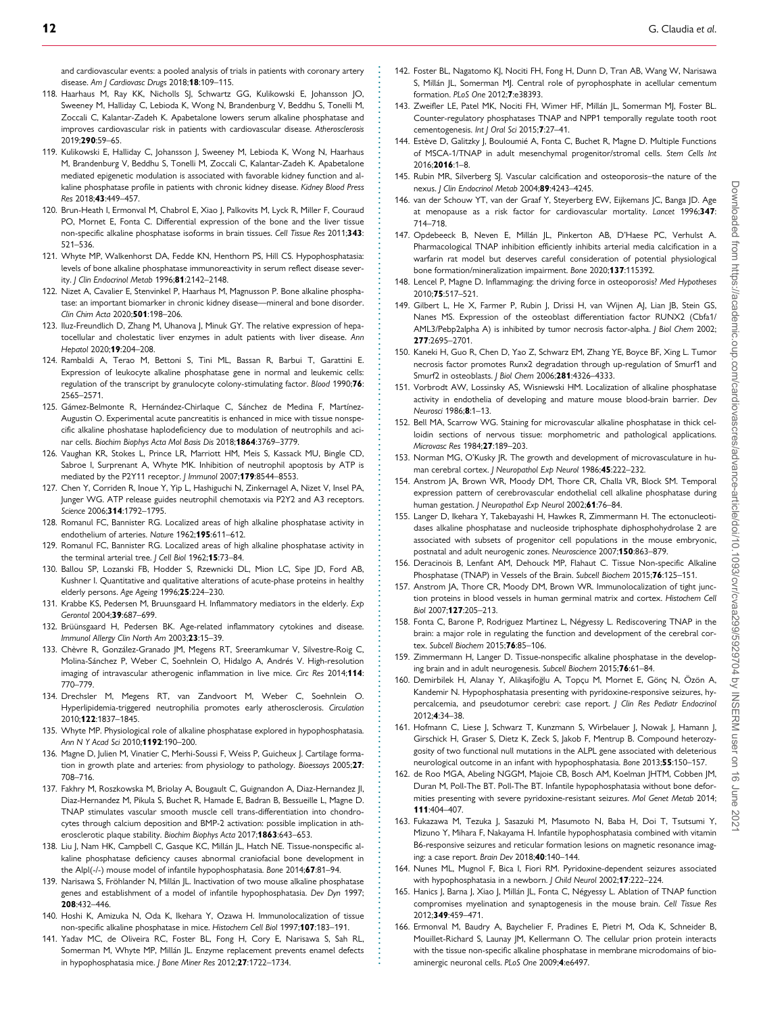<span id="page-11-0"></span>. and cardiovascular events: a pooled analysis of trials in patients with coronary artery disease. Am J Cardiovasc Drugs 2018;18:109-115.

- 118. Haarhaus M, Ray KK, Nicholls SJ, Schwartz GG, Kulikowski E, Johansson JO, Sweeney M, Halliday C, Lebioda K, Wong N, Brandenburg V, Beddhu S, Tonelli M, Zoccali C, Kalantar-Zadeh K. Apabetalone lowers serum alkaline phosphatase and improves cardiovascular risk in patients with cardiovascular disease. Atherosclerosis 2019;290:59–65.
- [119.](#page-6-0) Kulikowski E, Halliday C, Johansson J, Sweeney M, Lebioda K, Wong N, Haarhaus M, Brandenburg V, Beddhu S, Tonelli M, Zoccali C, Kalantar-Zadeh K. Apabetalone mediated epigenetic modulation is associated with favorable kidney function and alkaline phosphatase profile in patients with chronic kidney disease. Kidney Blood Press Res 2018;43:449–457.
- [120.](#page-5-0) Brun-Heath I, Ermonval M, Chabrol E, Xiao J, Palkovits M, Lyck R, Miller F, Couraud PO, Mornet E, Fonta C. Differential expression of the bone and the liver tissue non-specific alkaline phosphatase isoforms in brain tissues. Cell Tissue Res 2011;343: 521–536.
- [121.](#page-6-0) Whyte MP, Walkenhorst DA, Fedde KN, Henthorn PS, Hill CS. Hypophosphatasia: levels of bone alkaline phosphatase immunoreactivity in serum reflect disease severity. J Clin Endocrinol Metab 1996;81:2142-2148.
- [122.](#page-6-0) Nizet A, Cavalier E, Stenvinkel P, Haarhaus M, Magnusson P. Bone alkaline phosphatase: an important biomarker in chronic kidney disease—mineral and bone disorder. Clin Chim Acta 2020;501:198–206.
- [123.](#page-6-0) Iluz-Freundlich D, Zhang M, Uhanova J, Minuk GY. The relative expression of hepatocellular and cholestatic liver enzymes in adult patients with liver disease. Ann Hepatol 2020;19:204–208.
- [124.](#page-6-0) Rambaldi A, Terao M, Bettoni S, Tini ML, Bassan R, Barbui T, Garattini E. Expression of leukocyte alkaline phosphatase gene in normal and leukemic cells: regulation of the transcript by granulocyte colony-stimulating factor. Blood 1990;76: 2565–2571.
- [125.](#page-6-0) Gámez-Belmonte R, Hernández-Chirlaque C, Sánchez de Medina F, Martínez-Augustin O. Experimental acute pancreatitis is enhanced in mice with tissue nonspecific alkaline phoshatase haplodeficiency due to modulation of neutrophils and acinar cells. Biochim Biophys Acta Mol Basis Dis 2018;1864:3769–3779.
- [126.](#page-6-0) Vaughan KR, Stokes L, Prince LR, Marriott HM, Meis S, Kassack MU, Bingle CD, Sabroe I, Surprenant A, Whyte MK. Inhibition of neutrophil apoptosis by ATP is mediated by the P2Y11 receptor. J Immunol 2007;179:8544-8553.
- [127.](#page-6-0) Chen Y, Corriden R, Inoue Y, Yip L, Hashiguchi N, Zinkernagel A, Nizet V, Insel PA, Junger WG. ATP release guides neutrophil chemotaxis via P2Y2 and A3 receptors. Science 2006;314:1792–1795.
- [128.](#page-6-0) Romanul FC, Bannister RG. Localized areas of high alkaline phosphatase activity in endothelium of arteries. Nature 1962;195:611–612.
- [129.](#page-6-0) Romanul FC, Bannister RG. Localized areas of high alkaline phosphatase activity in the terminal arterial tree. J Cell Biol 1962;15:73-84.
- 130. Ballou SP, Lozanski FB, Hodder S, Rzewnicki DL, Mion LC, Sipe JD, Ford AB, Kushner I. Quantitative and qualitative alterations of acute-phase proteins in healthy elderly persons. Age Ageing 1996;25:224–230.
- 131. Krabbe KS, Pedersen M, Bruunsgaard H. Inflammatory mediators in the elderly. Exp Gerontol 2004;39:687–699.
- 132. Brüünsgaard H, Pedersen BK. Age-related inflammatory cytokines and disease. Immunol Allergy Clin North Am 2003;23:15–39.
- [133.](#page-6-0) Chèvre R, González-Granado JM, Megens RT, Sreeramkumar V, Silvestre-Roig C, Molina-Sánchez P, Weber C, Soehnlein O, Hidalgo A, Andrés V. High-resolution imaging of intravascular atherogenic inflammation in live mice. Circ Res 2014;114: 770–779.
- [134.](#page-6-0) Drechsler M, Megens RT, van Zandvoort M, Weber C, Soehnlein O. Hyperlipidemia-triggered neutrophilia promotes early atherosclerosis. Circulation 2010;122:1837–1845.
- [135.](#page-6-0) Whyte MP. Physiological role of alkaline phosphatase explored in hypophosphatasia. Ann N Y Acad Sci 2010;1192:190–200.
- [136.](#page-6-0) Magne D, Julien M, Vinatier C, Merhi-Soussi F, Weiss P, Guicheux J. Cartilage formation in growth plate and arteries: from physiology to pathology. Bioessays 2005;27: 708–716.
- 137. Fakhry M, Roszkowska M, Briolay A, Bougault C, Guignandon A, Diaz-Hernandez JI, Diaz-Hernandez M, Pikula S, Buchet R, Hamade E, Badran B, Bessueille L, Magne D. TNAP stimulates vascular smooth muscle cell trans-differentiation into chondrocytes through calcium deposition and BMP-2 activation: possible implication in atherosclerotic plaque stability. Biochim Biophys Acta 2017;1863:643-653.
- 138. Liu J, Nam HK, Campbell C, Gasque KC, Millán JL, Hatch NE. Tissue-nonspecific alkaline phosphatase deficiency causes abnormal craniofacial bone development in the Alpl(-/-) mouse model of infantile hypophosphatasia. Bone 2014;67:81–94.
- [139.](#page-7-0) Narisawa S, Fröhlander N, Millán JL. Inactivation of two mouse alkaline phosphatase genes and establishment of a model of infantile hypophosphatasia. Dev Dyn 1997; 208:432–446.
- [140.](#page-6-0) Hoshi K, Amizuka N, Oda K, Ikehara Y, Ozawa H. Immunolocalization of tissue non-specific alkaline phosphatase in mice. Histochem Cell Biol 1997;107:183–191.
- [141.](#page-6-0) Yadav MC, de Oliveira RC, Foster BL, Fong H, Cory E, Narisawa S, Sah RL, Somerman M, Whyte MP, Millán JL. Enzyme replacement prevents enamel defects in hypophosphatasia mice. J Bone Miner Res 2012;27:1722-1734.

- [142.](#page-6-0) Foster BL, Nagatomo KJ, Nociti FH, Fong H, Dunn D, Tran AB, Wang W, Narisawa S, Millán JL, Somerman MJ. Central role of pyrophosphate in acellular cementum formation. PLoS One 2012;7:e38393.
- [143.](#page-6-0) Zweifler LE, Patel MK, Nociti FH, Wimer HF, Millán JL, Somerman MJ, Foster BL. Counter-regulatory phosphatases TNAP and NPP1 temporally regulate tooth root cementogenesis. Int J Oral Sci 2015;7:27-41.
- [144.](#page-6-0) Estève D, Galitzky J, Bouloumié A, Fonta C, Buchet R, Magne D. Multiple Functions of MSCA-1/TNAP in adult mesenchymal progenitor/stromal cells. Stem Cells Int 2016;2016:1–8.
- [145.](#page-7-0) Rubin MR, Silverberg SJ. Vascular calcification and osteoporosis–the nature of the nexus. J Clin Endocrinol Metab 2004;89:4243-4245.
- [146.](#page-7-0) van der Schouw YT, van der Graaf Y, Steyerberg EW, Eijkemans JC, Banga JD. Age at menopause as a risk factor for cardiovascular mortality. Lancet 1996;347: 714–718.
- [147.](#page-7-0) Opdebeeck B, Neven E, Millán JL, Pinkerton AB, D'Haese PC, Verhulst A. Pharmacological TNAP inhibition efficiently inhibits arterial media calcification in a warfarin rat model but deserves careful consideration of potential physiological bone formation/mineralization impairment. Bone 2020;137:115392.
- [148.](#page-7-0) Lencel P, Magne D. Inflammaging: the driving force in osteoporosis? Med Hypotheses 2010;75:517–521.
- [149.](#page-7-0) Gilbert L, He X, Farmer P, Rubin J, Drissi H, van Wijnen AJ, Lian JB, Stein GS, Nanes MS. Expression of the osteoblast differentiation factor RUNX2 (Cbfa1/ AML3/Pebp2alpha A) is inhibited by tumor necrosis factor-alpha. J Biol Chem 2002; 277:2695–2701.
- [150.](#page-7-0) Kaneki H, Guo R, Chen D, Yao Z, Schwarz EM, Zhang YE, Boyce BF, Xing L. Tumor necrosis factor promotes Runx2 degradation through up-regulation of Smurf1 and Smurf2 in osteoblasts. J Biol Chem 2006;281:4326–4333.
- [151.](#page-7-0) Vorbrodt AW, Lossinsky AS, Wisniewski HM. Localization of alkaline phosphatase activity in endothelia of developing and mature mouse blood-brain barrier. Dev Neurosci 1986;8:1–13.
- [152.](#page-7-0) Bell MA, Scarrow WG. Staining for microvascular alkaline phosphatase in thick celloidin sections of nervous tissue: morphometric and pathological applications. Microvasc Res 1984;27:189–203.
- [153.](#page-7-0) Norman MG, O'Kusky JR. The growth and development of microvasculature in human cerebral cortex. J Neuropathol Exp Neurol 1986;45:222-232.
- [154.](#page-7-0) Anstrom JA, Brown WR, Moody DM, Thore CR, Challa VR, Block SM. Temporal expression pattern of cerebrovascular endothelial cell alkaline phosphatase during human gestation. *I Neuropathol Exp Neurol* 2002:61:76-84.
- [155.](#page-7-0) Langer D, Ikehara Y, Takebayashi H, Hawkes R, Zimmermann H. The ectonucleotidases alkaline phosphatase and nucleoside triphosphate diphosphohydrolase 2 are associated with subsets of progenitor cell populations in the mouse embryonic, postnatal and adult neurogenic zones. Neuroscience 2007;150:863–879.
- [156.](#page-7-0) Deracinois B, Lenfant AM, Dehouck MP, Flahaut C. Tissue Non-specific Alkaline Phosphatase (TNAP) in Vessels of the Brain. Subcell Biochem 2015:76:125-151.
- [157.](#page-7-0) Anstrom JA, Thore CR, Moody DM, Brown WR. Immunolocalization of tight junction proteins in blood vessels in human germinal matrix and cortex. Histochem Cell Biol 2007;127:205–213.
- [158.](#page-7-0) Fonta C, Barone P, Rodriguez Martinez L, Négyessy L. Rediscovering TNAP in the brain: a major role in regulating the function and development of the cerebral cortex. Subcell Biochem 2015;76:85–106.
- [159.](#page-7-0) Zimmermann H, Langer D. Tissue-nonspecific alkaline phosphatase in the developing brain and in adult neurogenesis. Subcell Biochem 2015;76:61–84.
- [160.](#page-7-0) Demirbilek H, Alanay Y, Alikaşifoğlu A, Topçu M, Mornet E, Gönç N, Özön A Kandemir N. Hypophosphatasia presenting with pyridoxine-responsive seizures, hypercalcemia, and pseudotumor cerebri: case report. J Clin Res Pediatr Endocrinol 2012;4:34–38.
- 161. Hofmann C, Liese J, Schwarz T, Kunzmann S, Wirbelauer J, Nowak J, Hamann J, Girschick H, Graser S, Dietz K, Zeck S, Jakob F, Mentrup B. Compound heterozygosity of two functional null mutations in the ALPL gene associated with deleterious neurological outcome in an infant with hypophosphatasia. Bone 2013;55:150–157.
- 162. de Roo MGA, Abeling NGGM, Majoie CB, Bosch AM, Koelman JHTM, Cobben JM, Duran M, Poll-The BT. Poll-The BT. Infantile hypophosphatasia without bone deformities presenting with severe pyridoxine-resistant seizures. Mol Genet Metab 2014; 111:404-407
- 163. Fukazawa M, Tezuka J, Sasazuki M, Masumoto N, Baba H, Doi T, Tsutsumi Y, Mizuno Y, Mihara F, Nakayama H. Infantile hypophosphatasia combined with vitamin B6-responsive seizures and reticular formation lesions on magnetic resonance imaging: a case report. Brain Dev 2018;40:140–144.
- 164. Nunes ML, Mugnol F, Bica I, Fiori RM. Pyridoxine-dependent seizures associated with hypophosphatasia in a newborn. *J Child Neurol* 2002;17:222-224.
- [165.](#page-7-0) Hanics J, Barna J, Xiao J, Millán JL, Fonta C, Négyessy L. Ablation of TNAP function compromises myelination and synaptogenesis in the mouse brain. Cell Tissue Res 2012;349:459–471.
- [166.](#page-7-0) Ermonval M, Baudry A, Baychelier F, Pradines E, Pietri M, Oda K, Schneider B, Mouillet-Richard S, Launay JM, Kellermann O. The cellular prion protein interacts with the tissue non-specific alkaline phosphatase in membrane microdomains of bioaminergic neuronal cells. PLoS One 2009;4:e6497.